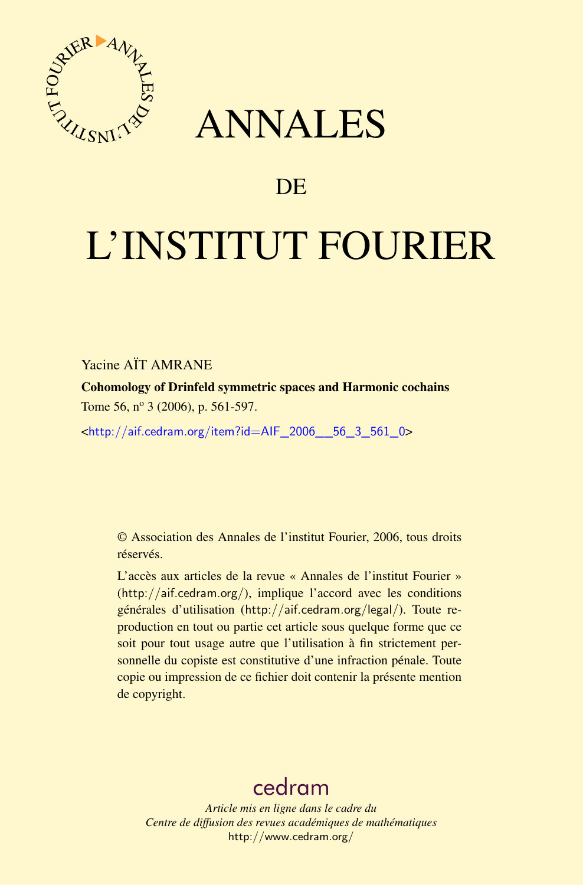

# ANNALES

# **DE**

# L'INSTITUT FOURIER

Yacine AÏT AMRANE

Cohomology of Drinfeld symmetric spaces and Harmonic cochains Tome 56, nº 3 (2006), p. 561-597.

<[http://aif.cedram.org/item?id=AIF\\_2006\\_\\_56\\_3\\_561\\_0](http://aif.cedram.org/item?id=AIF_2006__56_3_561_0)>

© Association des Annales de l'institut Fourier, 2006, tous droits réservés.

L'accès aux articles de la revue « Annales de l'institut Fourier » (<http://aif.cedram.org/>), implique l'accord avec les conditions générales d'utilisation (<http://aif.cedram.org/legal/>). Toute reproduction en tout ou partie cet article sous quelque forme que ce soit pour tout usage autre que l'utilisation à fin strictement personnelle du copiste est constitutive d'une infraction pénale. Toute copie ou impression de ce fichier doit contenir la présente mention de copyright.

# [cedram](http://www.cedram.org/)

*Article mis en ligne dans le cadre du Centre de diffusion des revues académiques de mathématiques* <http://www.cedram.org/>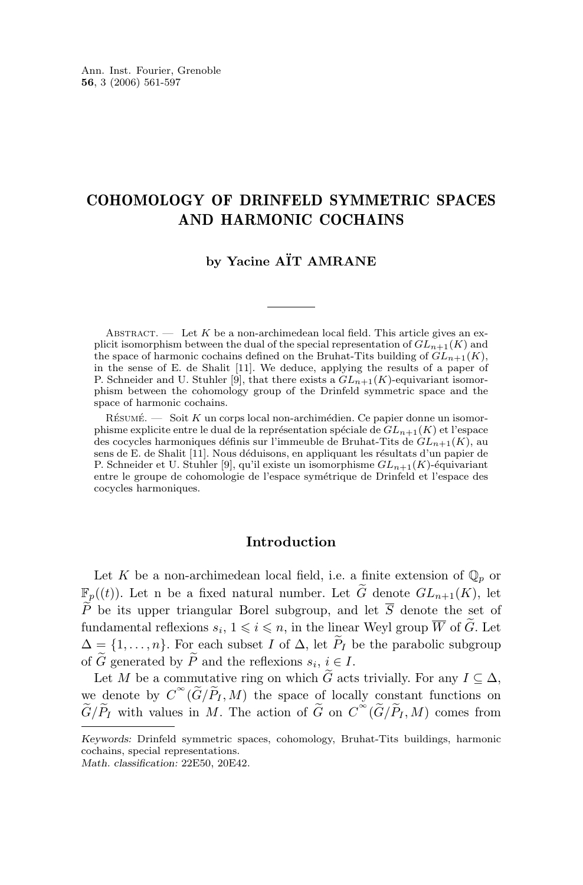## COHOMOLOGY OF DRINFELD SYMMETRIC SPACES AND HARMONIC COCHAINS

### **by Yacine AÏT AMRANE**

ABSTRACT. — Let K be a non-archimedean local field. This article gives an explicit isomorphism between the dual of the special representation of  $GL_{n+1}(K)$  and the space of harmonic cochains defined on the Bruhat-Tits building of  $GL_{n+1}(K)$ , in the sense of E. de Shalit [11]. We deduce, applying the results of a paper of P. Schneider and U. Stuhler [9], that there exists a  $GL_{n+1}(K)$ -equivariant isomorphism between the cohomology group of the Drinfeld symmetric space and the space of harmonic cochains.

 $R$ ÉSUMÉ.  $-$  Soit K un corps local non-archimédien. Ce papier donne un isomorphisme explicite entre le dual de la représentation spéciale de  $GL_{n+1}(K)$  et l'espace des cocycles harmoniques définis sur l'immeuble de Bruhat-Tits de  $GL_{n+1}(K)$ , au sens de E. de Shalit [11]. Nous déduisons, en appliquant les résultats d'un papier de P. Schneider et U. Stuhler [9], qu'il existe un isomorphisme  $GL_{n+1}(K)$ -équivariant entre le groupe de cohomologie de l'espace symétrique de Drinfeld et l'espace des cocycles harmoniques.

#### **Introduction**

Let K be a non-archimedean local field, i.e. a finite extension of  $\mathbb{Q}_p$  or  $\mathbb{F}_p((t))$ . Let n be a fixed natural number. Let  $\widetilde{G}$  denote  $GL_{n+1}(K)$ , let  $\tilde{P}$  be its upper triangular Borel subgroup, and let  $\overline{S}$  denote the set of fundamental reflexions  $s_i, 1 \leq i \leq n$ , in the linear Weyl group  $\overline{W}$  of  $\widetilde{G}$ . Let  $\Delta = \{1, \ldots, n\}$ . For each subset I of  $\Delta$ , let  $\widetilde{P}_I$  be the parabolic subgroup of G generated by P and the reflexions  $s_i, i \in I$ .

Let M be a commutative ring on which  $\widetilde{G}$  acts trivially. For any  $I \subseteq \Delta$ , we denote by  $C^{\infty}(\widetilde{G}/\widetilde{P}_I, M)$  the space of locally constant functions on  $\tilde{G}/\tilde{P}_I$  with values in M. The action of  $\tilde{G}$  on  $C^{\infty}(\tilde{G}/\tilde{P}_I, M)$  comes from

*Keywords:* Drinfeld symmetric spaces, cohomology, Bruhat-Tits buildings, harmonic cochains, special representations. *Math. classification:* 22E50, 20E42.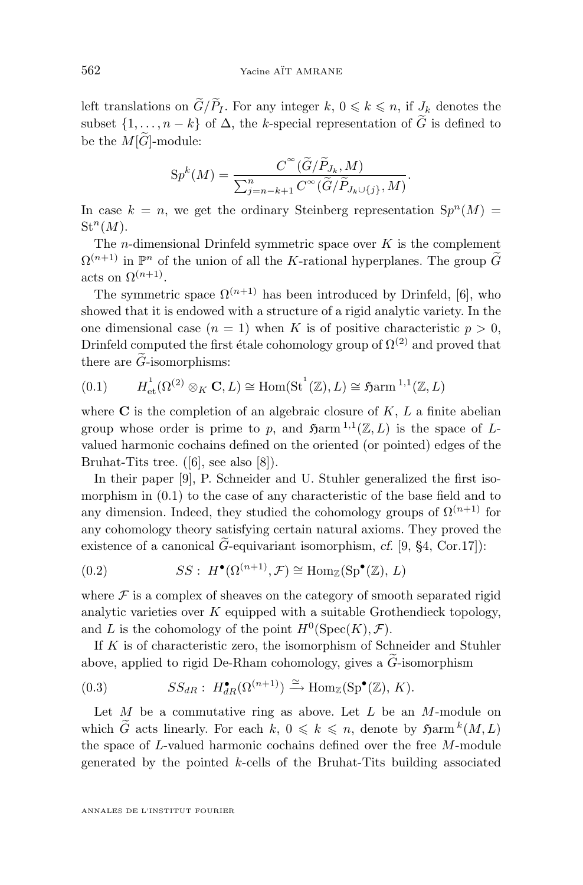<span id="page-2-0"></span>left translations on  $\widetilde{G}/\widetilde{P}_I$ . For any integer  $k, 0 \leq k \leq n$ , if  $J_k$  denotes the subset  $\{1, \ldots, n-k\}$  of  $\Delta$ , the k-special representation of  $\widetilde{G}$  is defined to be the  $M[\widetilde{G}]$ -module:

$$
Sp^{k}(M) = \frac{C^{\infty}(\widetilde{G}/\widetilde{P}_{J_{k}}, M)}{\sum_{j=n-k+1}^{n} C^{\infty}(\widetilde{G}/\widetilde{P}_{J_{k}\cup\{j\}}, M)}.
$$

In case  $k = n$ , we get the ordinary Steinberg representation  $Sp<sup>n</sup>(M) =$  $\mathrm{St}^n(M).$ 

The *n*-dimensional Drinfeld symmetric space over  $K$  is the complement  $\Omega^{(n+1)}$  in  $\mathbb{P}^n$  of the union of all the K-rational hyperplanes. The group  $\widetilde{G}$ acts on  $\Omega^{(n+1)}$ .

The symmetric space  $\Omega^{(n+1)}$  has been introduced by Drinfeld, [\[6\]](#page-36-0), who showed that it is endowed with a structure of a rigid analytic variety. In the one dimensional case  $(n = 1)$  when K is of positive characteristic  $p > 0$ . Drinfeld computed the first étale cohomology group of  $\Omega^{(2)}$  and proved that there are  $\ddot{G}$ -isomorphisms:

$$
(0.1) \qquad H_{\text{et}}^1(\Omega^{(2)} \otimes_K \mathbf{C}, L) \cong \text{Hom}(\text{St}^1(\mathbb{Z}), L) \cong \text{S\text{arm}}^{1,1}(\mathbb{Z}, L)
$$

where  $C$  is the completion of an algebraic closure of  $K, L$  a finite abelian group whose order is prime to p, and  $\mathfrak{Harm}^{1,1}(\mathbb{Z},L)$  is the space of Lvalued harmonic cochains defined on the oriented (or pointed) edges of the Bruhat-Tits tree. ([\[6\]](#page-36-0), see also [\[8\]](#page-37-0)).

In their paper [\[9\]](#page-37-0), P. Schneider and U. Stuhler generalized the first isomorphism in (0.1) to the case of any characteristic of the base field and to any dimension. Indeed, they studied the cohomology groups of  $\Omega^{(n+1)}$  for any cohomology theory satisfying certain natural axioms. They proved the existence of a canonical  $\tilde{G}$ -equivariant isomorphism, *cf.* [\[9,](#page-37-0) §4, Cor.17]):

(0.2) 
$$
SS: H^{\bullet}(\Omega^{(n+1)}, \mathcal{F}) \cong \text{Hom}_{\mathbb{Z}}(\text{Sp}^{\bullet}(\mathbb{Z}), L)
$$

where  $\mathcal F$  is a complex of sheaves on the category of smooth separated rigid analytic varieties over  $K$  equipped with a suitable Grothendieck topology, and L is the cohomology of the point  $H^0(\text{Spec}(K), \mathcal{F})$ .

If  $K$  is of characteristic zero, the isomorphism of Schneider and Stuhler above, applied to rigid De-Rham cohomology, gives a  $\tilde{G}$ -isomorphism

(0.3) 
$$
SS_{dR}: H^{\bullet}_{dR}(\Omega^{(n+1)}) \xrightarrow{\simeq} \text{Hom}_{\mathbb{Z}}(\text{Sp}^{\bullet}(\mathbb{Z}), K).
$$

Let  $M$  be a commutative ring as above. Let  $L$  be an  $M$ -module on which  $\widetilde{G}$  acts linearly. For each  $k, 0 \leq k \leq n$ , denote by  $\mathfrak{Harm}^k(M,L)$ the space of  $L$ -valued harmonic cochains defined over the free  $M$ -module generated by the pointed k-cells of the Bruhat-Tits building associated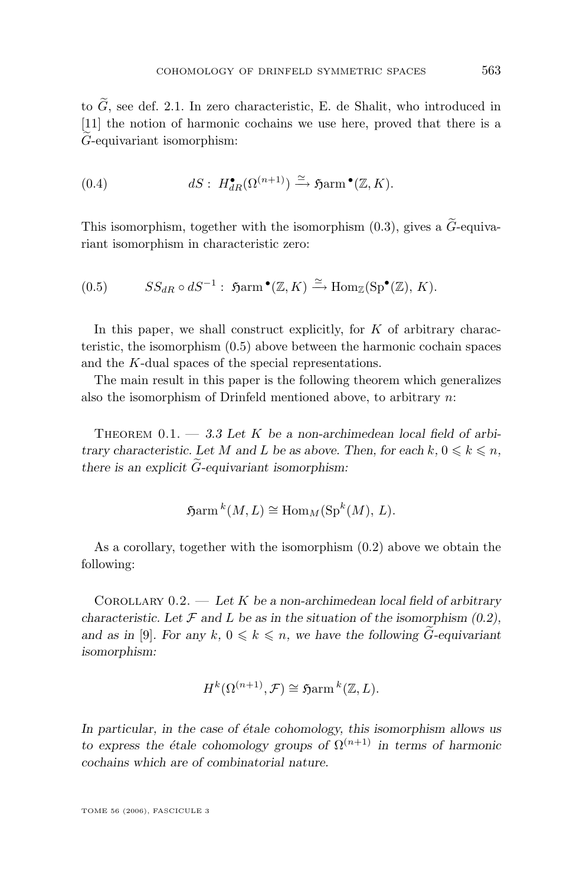to  $\widetilde{G},$  see def. [2.1.](#page-14-0) In zero characteristic, E. de Shalit, who introduced in [\[11\]](#page-37-0) the notion of harmonic cochains we use here, proved that there is a <sup>G</sup>e-equivariant isomorphism:

(0.4) 
$$
dS: H_{dR}^{\bullet}(\Omega^{(n+1)}) \xrightarrow{\simeq} \mathfrak{H}arm^{\bullet}(\mathbb{Z}, K).
$$

This isomorphism, together with the isomorphism  $(0.3)$ , gives a  $\widetilde{G}$ -equivariant isomorphism in characteristic zero:

$$
(0.5) \t SSdR \circ dS^{-1} : \mathfrak{Harm}^{\bullet}(\mathbb{Z}, K) \xrightarrow{\simeq} \text{Hom}_{\mathbb{Z}}(\text{Sp}^{\bullet}(\mathbb{Z}), K).
$$

In this paper, we shall construct explicitly, for  $K$  of arbitrary characteristic, the isomorphism (0.5) above between the harmonic cochain spaces and the K-dual spaces of the special representations.

The main result in this paper is the following theorem which generalizes also the isomorphism of Drinfeld mentioned above, to arbitrary  $n$ :

THEOREM  $0.1. - 3.3$  $0.1. - 3.3$  Let K be a non-archimedean local field of arbi*trary characteristic. Let* M and L be as above. Then, for each  $k, 0 \leq k \leq n$ , *there is an explicit*  $\tilde{G}$ -equivariant isomorphism:

$$
\text{Sarm}^k(M, L) \cong \text{Hom}_M(\text{Sp}^k(M), L).
$$

As a corollary, together with the isomorphism [\(0.2\)](#page-2-0) above we obtain the following:

Corollary 0.2. — *Let* K *be a non-archimedean local field of arbitrary characteristic.* Let  $\mathcal F$  *and*  $L$  *be as in the situation of the isomorphism [\(0.2\)](#page-2-0),* and as in [\[9\]](#page-37-0). For any  $k, 0 \leq k \leq n$ , we have the following  $G$ -equivariant *isomorphism:*

$$
H^k(\Omega^{(n+1)}, \mathcal{F}) \cong \text{S\text{arm}}^k(\mathbb{Z}, L).
$$

*In particular, in the case of étale cohomology, this isomorphism allows us to express the étale cohomology groups of*  $\Omega^{(n+1)}$  *in terms of harmonic cochains which are of combinatorial nature.*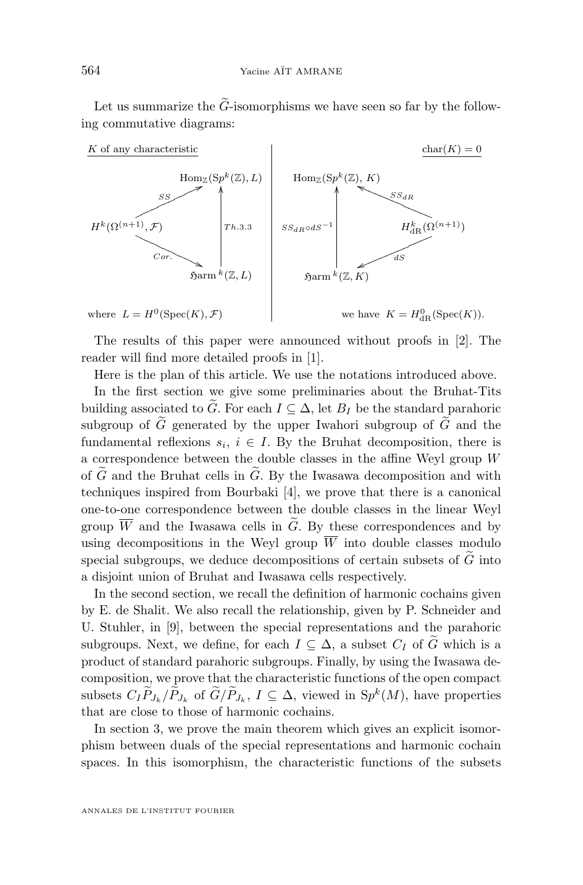Let us summarize the  $\tilde{G}$ -isomorphisms we have seen so far by the following commutative diagrams:



The results of this paper were announced without proofs in [\[2\]](#page-36-0). The reader will find more detailed proofs in [\[1\]](#page-36-0).

Here is the plan of this article. We use the notations introduced above.

In the first section we give some preliminaries about the Bruhat-Tits building associated to  $\widetilde{G}$ . For each  $I \subseteq \Delta$ , let  $B_I$  be the standard parahoric subgroup of  $\tilde{G}$  generated by the upper Iwahori subgroup of  $\tilde{G}$  and the fundamental reflexions  $s_i, i \in I$ . By the Bruhat decomposition, there is a correspondence between the double classes in the affine Weyl group W of  $\tilde{G}$  and the Bruhat cells in  $\tilde{G}$ . By the Iwasawa decomposition and with techniques inspired from Bourbaki [\[4\]](#page-36-0), we prove that there is a canonical one-to-one correspondence between the double classes in the linear Weyl group  $\overline{W}$  and the Iwasawa cells in  $\widetilde{G}$ . By these correspondences and by using decompositions in the Weyl group  $\overline{W}$  into double classes modulo special subgroups, we deduce decompositions of certain subsets of  $G$  into a disjoint union of Bruhat and Iwasawa cells respectively.

In the second section, we recall the definition of harmonic cochains given by E. de Shalit. We also recall the relationship, given by P. Schneider and U. Stuhler, in [\[9\]](#page-37-0), between the special representations and the parahoric subgroups. Next, we define, for each  $I \subseteq \Delta$ , a subset  $C_I$  of  $\tilde{G}$  which is a product of standard parahoric subgroups. Finally, by using the Iwasawa decomposition, we prove that the characteristic functions of the open compact subsets  $C_I \overline{P}_{J_k}/\overline{P}_{J_k}$  of  $G/P_{J_k}$ ,  $I \subseteq \Delta$ , viewed in  $\mathcal{S}p^k(M)$ , have properties that are close to those of harmonic cochains.

In section 3, we prove the main theorem which gives an explicit isomorphism between duals of the special representations and harmonic cochain spaces. In this isomorphism, the characteristic functions of the subsets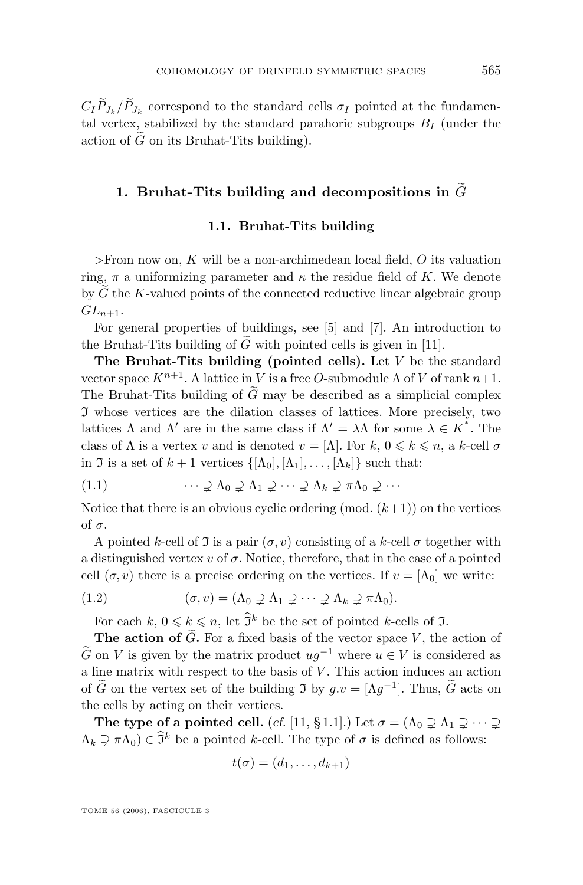<span id="page-5-0"></span> $C_I P_{J_k}/P_{J_k}$  correspond to the standard cells  $\sigma_I$  pointed at the fundamental vertex, stabilized by the standard parahoric subgroups  $B_I$  (under the action of  $\tilde{G}$  on its Bruhat-Tits building).

## 1. Bruhat-Tits building and decompositions in  $\tilde{G}$

#### **1.1. Bruhat-Tits building**

>From now on,  $K$  will be a non-archimedean local field,  $O$  its valuation ring,  $\pi$  a uniformizing parameter and  $\kappa$  the residue field of K. We denote by  $\tilde{G}$  the K-valued points of the connected reductive linear algebraic group  $GL_{n+1}$ .

For general properties of buildings, see [\[5\]](#page-36-0) and [\[7\]](#page-36-0). An introduction to the Bruhat-Tits building of  $\tilde{G}$  with pointed cells is given in [\[11\]](#page-37-0).

**The Bruhat-Tits building (pointed cells).** Let V be the standard vector space  $K^{n+1}$ . A lattice in V is a free O-submodule  $\Lambda$  of V of rank  $n+1$ . The Bruhat-Tits building of  $\tilde{G}$  may be described as a simplicial complex  $\mathfrak I$  whose vertices are the dilation classes of lattices. More precisely, two lattices  $\Lambda$  and  $\Lambda'$  are in the same class if  $\Lambda' = \lambda \Lambda$  for some  $\lambda \in K^*$ . The class of  $\Lambda$  is a vertex v and is denoted  $v = [\Lambda]$ . For  $k, 0 \leq k \leq n$ , a k-cell  $\sigma$ in J is a set of  $k + 1$  vertices  $\{[\Lambda_0], [\Lambda_1], \ldots, [\Lambda_k]\}$  such that:

(1.1) 
$$
\cdots \supsetneq \Lambda_0 \supsetneq \Lambda_1 \supsetneq \cdots \supsetneq \Lambda_k \supsetneq \pi \Lambda_0 \supsetneq \cdots
$$

Notice that there is an obvious cyclic ordering  $(mod. (k+1))$  on the vertices of σ.

A pointed k-cell of  $\Im$  is a pair  $(\sigma, v)$  consisting of a k-cell  $\sigma$  together with a distinguished vertex v of  $\sigma$ . Notice, therefore, that in the case of a pointed cell  $(\sigma, v)$  there is a precise ordering on the vertices. If  $v = [\Lambda_0]$  we write:

(1.2) 
$$
(\sigma, v) = (\Lambda_0 \supsetneq \Lambda_1 \supsetneq \cdots \supsetneq \Lambda_k \supsetneq \pi \Lambda_0).
$$

For each  $k, 0 \leq k \leq n$ , let  $\hat{\mathfrak{I}}^k$  be the set of pointed k-cells of  $\mathfrak{I}$ .

**The action of**  $\tilde{G}$ **.** For a fixed basis of the vector space V, the action of  $\tilde{G}$  on V is given by the matrix product  $ug^{-1}$  where  $u \in V$  is considered as a line matrix with respect to the basis of V . This action induces an action of  $\tilde{G}$  on the vertex set of the building  $\mathfrak{I}$  by  $g.v = [\Lambda g^{-1}]$ . Thus,  $\tilde{G}$  acts on the cells by acting on their vertices.

**The type of a pointed cell.** (*cf.* [\[11,](#page-37-0) § 1.1].) Let  $\sigma = (\Lambda_0 \supseteq \Lambda_1 \supseteq \cdots \supseteq \Lambda_n)$  $(\Lambda_k \supsetneq \pi \Lambda_0) \in \hat{\mathfrak{I}}^k$  be a pointed k-cell. The type of  $\sigma$  is defined as follows:

$$
t(\sigma)=(d_1,\ldots,d_{k+1})
$$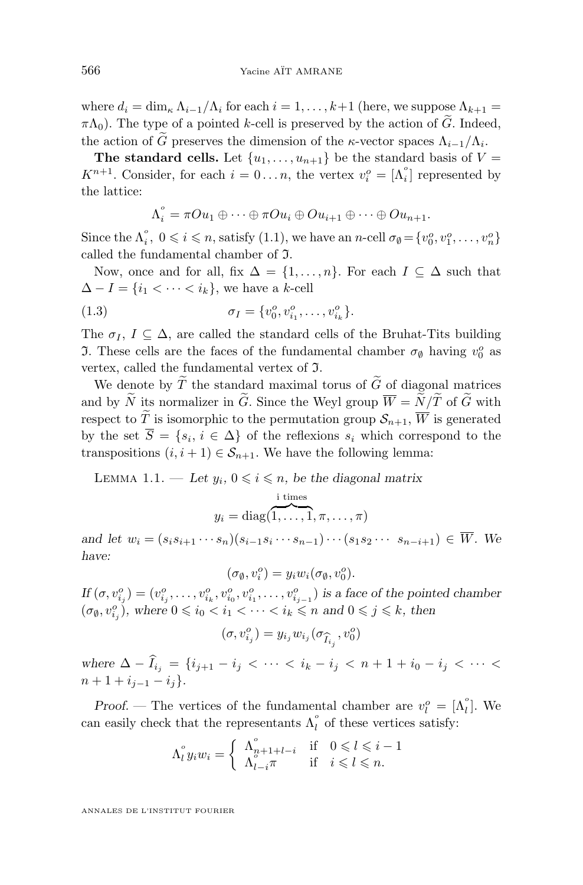where  $d_i = \dim_{\kappa} \Lambda_{i-1}/\Lambda_i$  for each  $i = 1, \ldots, k+1$  (here, we suppose  $\Lambda_{k+1} =$  $\pi\Lambda_0$ ). The type of a pointed k-cell is preserved by the action of G. Indeed, the action of G preserves the dimension of the κ-vector spaces  $\Lambda_{i-1}/\Lambda_i$ .

**The standard cells.** Let  $\{u_1, \ldots, u_{n+1}\}$  be the standard basis of  $V =$  $K^{n+1}$ . Consider, for each  $i = 0...n$ , the vertex  $v_i^o = \Lambda_i^o$  represented by the lattice:

$$
\Lambda_i^\circ = \pi O u_1 \oplus \cdots \oplus \pi O u_i \oplus O u_{i+1} \oplus \cdots \oplus O u_{n+1}.
$$

Since the  $\Lambda_i^o$ ,  $0 \leq i \leq n$ , satisfy [\(1.1\)](#page-5-0), we have an n-cell  $\sigma_{\emptyset} = \{v_0^o, v_1^o, \ldots, v_n^o\}$ called the fundamental chamber of I.

Now, once and for all, fix  $\Delta = \{1, \ldots, n\}$ . For each  $I \subseteq \Delta$  such that  $\Delta - I = \{i_1 < \cdots < i_k\}$ , we have a k-cell

(1.3) 
$$
\sigma_I = \{v_0^o, v_{i_1}^o, \dots, v_{i_k}^o\}.
$$

The  $\sigma_I$ ,  $I \subseteq \Delta$ , are called the standard cells of the Bruhat-Tits building **J.** These cells are the faces of the fundamental chamber  $\sigma_{\emptyset}$  having  $v_0^o$  as vertex, called the fundamental vertex of I.

We denote by  $\widetilde{T}$  the standard maximal torus of  $\widetilde{G}$  of diagonal matrices and by  $\widetilde{N}$  its normalizer in  $\widetilde{G}$ . Since the Weyl group  $\overline{W} = \widetilde{N}/\widetilde{T}$  of  $\widetilde{G}$  with respect to  $\widetilde{T}$  is isomorphic to the permutation group  $\mathcal{S}_{n+1}$ ,  $\overline{W}$  is generated by the set  $S = \{s_i, i \in \Delta\}$  of the reflexions  $s_i$  which correspond to the transpositions  $(i, i + 1) \in S_{n+1}$ . We have the following lemma:

LEMMA 1.1. — Let  $y_i$ ,  $0 \leq i \leq n$ , be the diagonal matrix

$$
y_i = \text{diag}(\overbrace{1,\ldots,1}^{\text{i times}}, \pi, \ldots, \pi)
$$

*and let*  $w_i = (s_i s_{i+1} \cdots s_n)(s_{i-1} s_i \cdots s_{n-1}) \cdots (s_1 s_2 \cdots s_{n-i+1}) \in W$ . We *have:*

$$
(\sigma_{\emptyset}, v_i^o) = y_i w_i (\sigma_{\emptyset}, v_0^o).
$$

 $If (\sigma, v_{i_j}^o) = (v_{i_j}^o, \ldots, v_{i_k}^o, v_{i_0}^o, v_{i_1}^o, \ldots, v_{i_{j-1}}^o)$  is a face of the pointed chamber  $(\sigma_{\emptyset}, v_{i_j}^o)$ , where  $0 \leqslant i_0 < i_1 < \cdots < i_k \leqslant n$  and  $0 \leqslant j \leqslant k$ , then

$$
(\sigma, v_{i_j}^o) = y_{i_j} w_{i_j} (\sigma_{\widehat{I}_{i_j}}, v_0^o)
$$

*where*  $\Delta - I_{i_j} = \{i_{j+1} - i_j \, \langle \, \cdots \, \langle \, i_k - i_j \, \langle \, n+1+i_0-i_j \, \langle \, \cdots \, \langle \, \rangle \rangle\}$  $n + 1 + i_{i-1} - i_i$ 

*Proof.* — The vertices of the fundamental chamber are  $v_l^o = [\Lambda_l^o]$ . We can easily check that the representants  $\Lambda_l^{\circ}$  of these vertices satisfy:

$$
\Lambda_i^\circ y_i w_i = \begin{cases} \begin{array}{ccc} \Lambda_{n+1+l-i}^\circ & \text{if} & 0 \leq l \leq i-1 \\ \Lambda_{l-i}^\circ \pi & \text{if} & i \leq l \leq n. \end{array} \end{cases}
$$

<span id="page-6-0"></span>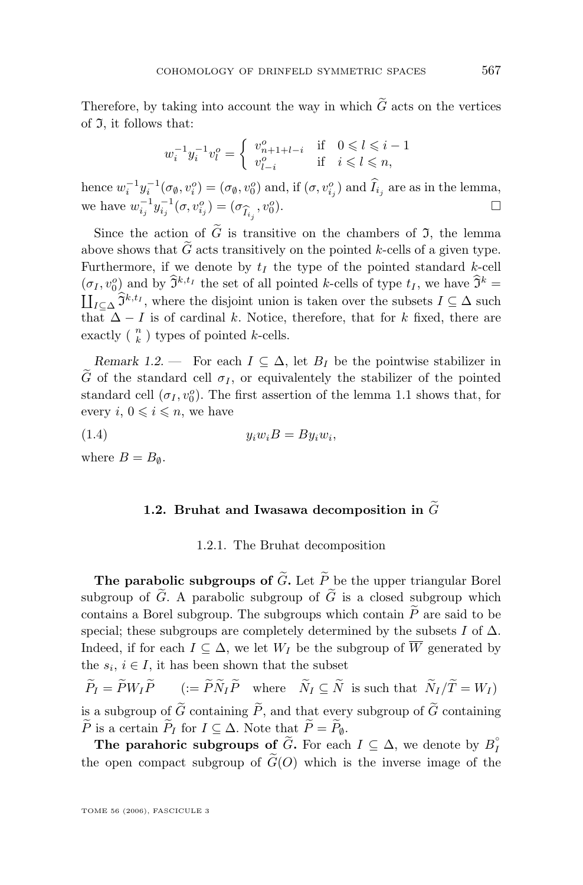<span id="page-7-0"></span>Therefore, by taking into account the way in which  $\tilde{G}$  acts on the vertices of  $\mathfrak{I}$ , it follows that:

$$
w_i^{-1}y_i^{-1}v_l^o=\left\{\begin{array}{ccc}v_{n+1+l-i}^o&\text{if}&0\leqslant l\leqslant i-1\\v_{l-i}^o&\text{if}&i\leqslant l\leqslant n,\end{array}\right.
$$

hence  $w_i^{-1}y_i^{-1}(\sigma_\emptyset, v_i^o) = (\sigma_\emptyset, v_0^o)$  and, if  $(\sigma, v_{i_j}^o)$  and  $\hat{I}_{i_j}$  are as in the lemma, we have  $w_{i_j}^{-1} y_{i_j}^{-1}(\sigma, v_{i_j}^o) = (\sigma_{\widehat{I}_{i_j}}, v_0^o)$  $\Box$ 

Since the action of  $\tilde{G}$  is transitive on the chambers of  $\mathfrak{I}$ , the lemma above shows that  $\tilde{G}$  acts transitively on the pointed k-cells of a given type. Furthermore, if we denote by  $t_I$  the type of the pointed standard k-cell  $(\sigma_I, v_0^o)$  and by  $\mathfrak{I}^{k,t_I}$  the set of all pointed k-cells of type  $t_I$ , we have  $\mathfrak{I}^k =$  $\coprod_{I \subseteq \Delta} \widetilde{\mathfrak{I}}^{k,t_I}$ , where the disjoint union is taken over the subsets  $I \subseteq \Delta$  such that  $\overline{\Delta} - I$  is of cardinal k. Notice, therefore, that for k fixed, there are exactly ( $\binom{n}{k}$ ) types of pointed *k*-cells.

*Remark 1.2.* — For each  $I \subseteq \Delta$ , let  $B_I$  be the pointwise stabilizer in  $\tilde{G}$  of the standard cell  $\sigma_I$ , or equivalentely the stabilizer of the pointed standard cell  $(\sigma_I, v_0^o)$ . The first assertion of the lemma [1.1](#page-6-0) shows that, for every  $i, 0 \leqslant i \leqslant n$ , we have

(1.4)  $y_i w_i B = B y_i w_i,$ 

where  $B = B_{\emptyset}$ .

#### **1.2. Bruhat and Iwasawa decomposition in**  $\widetilde{G}$

#### 1.2.1. The Bruhat decomposition

**The parabolic subgroups of**  $\tilde{G}$ **.** Let  $\tilde{P}$  be the upper triangular Borel subgroup of  $\tilde{G}$ . A parabolic subgroup of  $\tilde{G}$  is a closed subgroup which contains a Borel subgroup. The subgroups which contain  $\widetilde{P}$  are said to be special; these subgroups are completely determined by the subsets I of  $\Delta$ . Indeed, if for each  $I \subseteq \Delta$ , we let  $W_I$  be the subgroup of  $\overline{W}$  generated by the  $s_i, i \in I$ , it has been shown that the subset

 $\widetilde{P}_I = \widetilde{P}W_I\widetilde{P}$   $(:= \widetilde{P}\widetilde{N}_I\widetilde{P}$  where  $\widetilde{N}_I \subseteq \widetilde{N}$  is such that  $\widetilde{N}_I/\widetilde{T} = W_I$ is a subgroup of  $\tilde{G}$  containing  $\tilde{P}$ , and that every subgroup of  $\tilde{G}$  containing P is a certain  $P_I$  for  $I \subseteq \Delta$ . Note that  $P = P_{\emptyset}$ .

**The parahoric subgroups of**  $\widetilde{G}$ **.** For each  $I \subseteq \Delta$ , we denote by  $B_I^{\circ}$ the open compact subgroup of  $\tilde{G}(O)$  which is the inverse image of the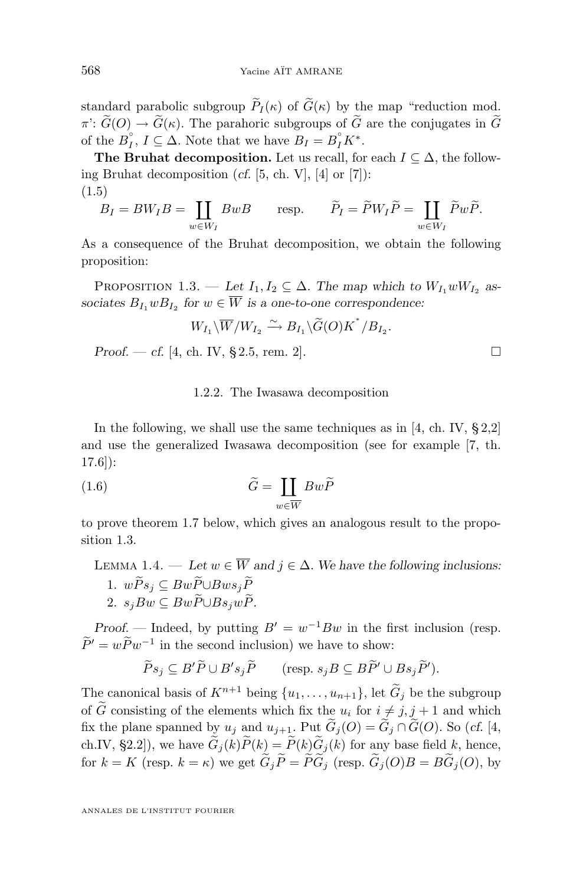standard parabolic subgroup  $\widetilde{P}_I(\kappa)$  of  $\widetilde{G}(\kappa)$  by the map "reduction mod.  $\pi$ :  $\widetilde{G}(O) \to \widetilde{G}(\kappa)$ . The parahoric subgroups of  $\widetilde{G}$  are the conjugates in  $\widetilde{G}$ of the  $B_I^{\circ}, I \subseteq \Delta$ . Note that we have  $B_I = B_I^{\circ} K^*$ .

**The Bruhat decomposition.** Let us recall, for each  $I \subseteq \Delta$ , the following Bruhat decomposition (*cf.* [\[5,](#page-36-0) ch. V], [\[4\]](#page-36-0) or [\[7\]](#page-36-0)): (1.5)

$$
B_I = BW_I B = \coprod_{w \in W_I} BwB \qquad \text{resp.} \qquad \widetilde{P}_I = \widetilde{P}W_I \widetilde{P} = \coprod_{w \in W_I} \widetilde{P}w\widetilde{P}.
$$

As a consequence of the Bruhat decomposition, we obtain the following proposition:

PROPOSITION 1.3. — Let  $I_1, I_2 \subseteq \Delta$ . The map which to  $W_{I_1} w W_{I_2}$  as*sociates*  $B_{I_1} w B_{I_2}$  for  $w \in W$  *is a one-to-one correspondence:* 

$$
W_{I_1}\backslash \overline{W}/W_{I_2} \xrightarrow{\sim} B_{I_1}\backslash \widetilde{G}(O)K^*/B_{I_2}.
$$

*Proof.* — *cf.* [\[4,](#page-36-0) ch. IV, § 2.5, rem. 2].

#### 1.2.2. The Iwasawa decomposition

In the following, we shall use the same techniques as in  $[4, ch. IV, § 2,2]$  $[4, ch. IV, § 2,2]$ and use the generalized Iwasawa decomposition (see for example [\[7,](#page-36-0) th. 17.6]):

(1.6) 
$$
\widetilde{G} = \coprod_{w \in \overline{W}} Bw\widetilde{P}
$$

to prove theorem [1.7](#page-9-0) below, which gives an analogous result to the proposition 1.3.

### LEMMA 1.4. — Let  $w \in \overline{W}$  and  $j \in \Delta$ . We have the following inclusions: 1.  $w\widetilde{P}s_i ⊆ Bw\widetilde{P} \cup Bws_i\widetilde{P}$ 2.  $s_jBw ⊂ Bw\widetilde{P} \cup Bs_jw\widetilde{P}$ .

*Proof.* — Indeed, by putting  $B' = w^{-1}Bw$  in the first inclusion (resp.  $P' = wP w^{-1}$  in the second inclusion) we have to show:

$$
\widetilde{P}s_j \subseteq B'\widetilde{P} \cup B's_j\widetilde{P} \qquad (\text{resp. } s_jB \subseteq B\widetilde{P}' \cup Bs_j\widetilde{P}').
$$

The canonical basis of  $K^{n+1}$  being  $\{u_1, \ldots, u_{n+1}\}$ , let  $\widetilde{G}_j$  be the subgroup of  $\tilde{G}$  consisting of the elements which fix the  $u_i$  for  $i \neq j, j + 1$  and which fix the plane spanned by  $u_j$  and  $u_{j+1}$ . Put  $\widetilde{G}_j(O) = \widetilde{G}_j \cap \widetilde{G}(O)$ . So (*cf.* [\[4,](#page-36-0) ch.IV, §2.2]), we have  $\widetilde{G}_i(k)\widetilde{P}(k) = \widetilde{P}(k)\widetilde{G}_i(k)$  for any base field k, hence, for  $k = K$  (resp.  $k = \kappa$ ) we get  $\tilde{G}_i \tilde{P} = \tilde{P}\tilde{G}_i$  (resp.  $\tilde{G}_i(O)B = B\tilde{G}_i(O)$ , by

<span id="page-8-0"></span>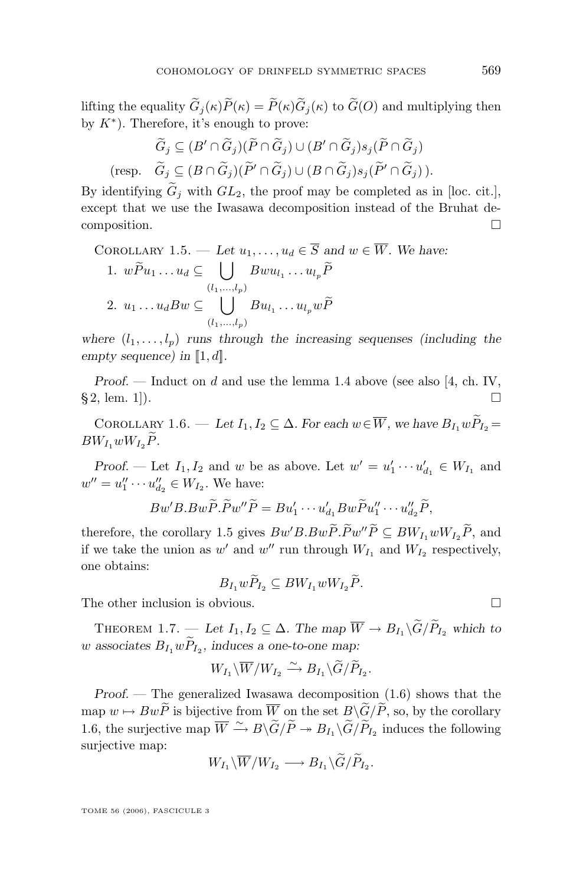<span id="page-9-0"></span>lifting the equality  $\widetilde{G}_j(\kappa)\widetilde{P}(\kappa) = \widetilde{P}(\kappa)\widetilde{G}_j(\kappa)$  to  $\widetilde{G}(O)$  and multiplying then by  $K^*$ ). Therefore, it's enough to prove:

$$
\widetilde{G}_j \subseteq (B' \cap \widetilde{G}_j)(\widetilde{P} \cap \widetilde{G}_j) \cup (B' \cap \widetilde{G}_j)s_j(\widetilde{P} \cap \widetilde{G}_j)
$$
  
(resp. 
$$
\widetilde{G}_j \subseteq (B \cap \widetilde{G}_j)(\widetilde{P}' \cap \widetilde{G}_j) \cup (B \cap \widetilde{G}_j)s_j(\widetilde{P}' \cap \widetilde{G}_j)).
$$

By identifying  $G_j$  with  $GL_2$ , the proof may be completed as in [loc. cit.], except that we use the Iwasawa decomposition instead of the Bruhat decomposition.  $\Box$ 

COROLLARY 1.5. — Let 
$$
u_1, ..., u_d \in \overline{S}
$$
 and  $w \in \overline{W}$ . We have:  
\n1.  $w\widetilde{P}u_1...u_d \subseteq \bigcup_{(l_1,...,l_p)} Bwu_{l_1}...u_{l_p}\widetilde{P}$   
\n2.  $u_1...u_dBw \subseteq \bigcup_{(l_1,...,l_p)} Bu_{l_1}...u_{l_p}w\widetilde{P}$ 

where  $(l_1, \ldots, l_p)$  *runs through the increasing sequenses (including the empty sequence) in*  $\llbracket 1, d \rrbracket$ *.* 

*Proof.* — Induct on d and use the lemma [1.4](#page-8-0) above (see also [\[4,](#page-36-0) ch. IV, § 2, lem. 1]).

COROLLARY 1.6. — Let  $I_1, I_2 \subseteq \Delta$ *. For each*  $w \in \overline{W}$ , we have  $B_1, w \widetilde{P}_1 =$  $BW_{I_1}wW_{I_2}P.$ 

*Proof.* — Let  $I_1, I_2$  and w be as above. Let  $w' = u'_1 \cdots u'_{d_1} \in W_{I_1}$  and  $w'' = u_1'' \cdots u_{d_2}'' \in W_{I_2}$ . We have:

$$
Bw'B.Bw\widetilde{P}.\widetilde{P}w''\widetilde{P}=Bu'_1\cdots u'_{d_1}Bw\widetilde{P}u''_1\cdots u''_{d_2}\widetilde{P},
$$

therefore, the corollary 1.5 gives  $Bw'B.Bw\widetilde{P}.\widetilde{P}w''\widetilde{P} \subseteq BW_{I_1}wW_{I_2}\widetilde{P}$ , and if we take the union as  $w'$  and  $w''$  run through  $W_{I_1}$  and  $W_{I_2}$  respectively, one obtains:

$$
B_{I_1}w\widetilde{P}_{I_2}\subseteq BW_{I_1}wW_{I_2}\widetilde{P}.
$$

The other inclusion is obvious.

THEOREM 1.7. — Let  $I_1, I_2 \subseteq \Delta$ . The map  $\overline{W} \to B_{I_1} \backslash \widetilde{G}/\widetilde{P}_{I_2}$  which to  $w$  associates  $B_{I_1} w P_{I_2}$ , induces a one-to-one map:

$$
W_{I_1}\backslash \overline{W}/W_{I_2} \xrightarrow{\sim} B_{I_1}\backslash \widetilde{G}/\widetilde{P}_{I_2}.
$$

*Proof.* — The generalized Iwasawa decomposition  $(1.6)$  shows that the map  $w \mapsto Bw\widetilde{P}$  is bijective from  $\overline{W}$  on the set  $B\backslash \widetilde{G}/\widetilde{P}$ , so, by the corollary 1.6, the surjective map  $\overline{W} \xrightarrow{\sim} B \backslash \widetilde{G}/\widetilde{P} \twoheadrightarrow B_{I_1} \backslash \widetilde{G}/\widetilde{P}_{I_2}$  induces the following surjective map:

$$
W_{I_1}\backslash \overline{W}/W_{I_2} \longrightarrow B_{I_1}\backslash \widetilde{G}/\widetilde{P}_{I_2}.
$$

$$
\Box
$$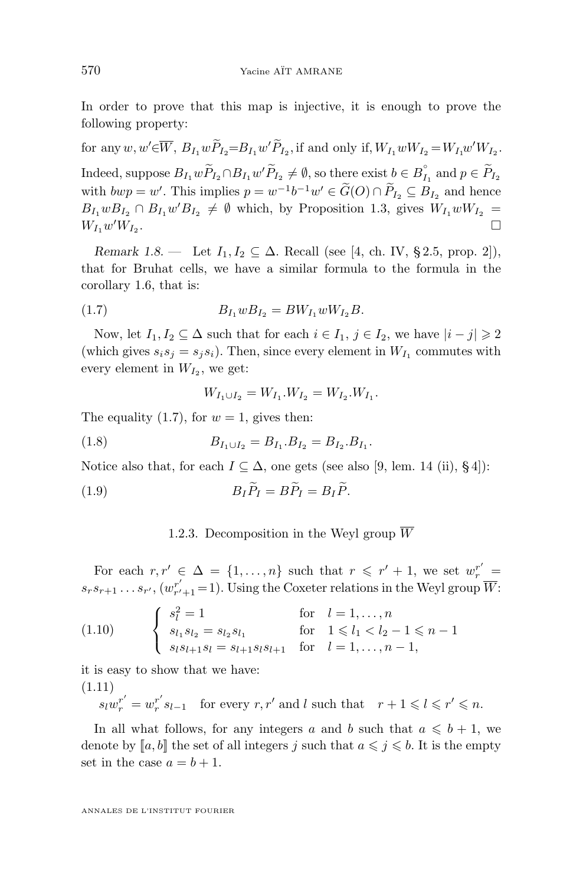<span id="page-10-0"></span>In order to prove that this map is injective, it is enough to prove the following property:

for any  $w, w' \in \overline{W}$ ,  $B_{I_1} w \tilde{P}_{I_2} = B_{I_1} w' \tilde{P}_{I_2}$ , if and only if,  $W_{I_1} w W_{I_2} = W_{I_1} w' W_{I_2}$ . Indeed, suppose  $B_{I_1} w \widetilde{P}_{I_2} \cap B_{I_1} w' \widetilde{P}_{I_2} \neq \emptyset$ , so there exist  $b \in B_{I_1}^{\circ}$  and  $p \in \widetilde{P}_{I_2}$ with  $bwp = w'$ . This implies  $p = w^{-1}b^{-1}w' \in \tilde{G}(O) \cap P_{I_2} \subseteq B_{I_2}$  and hence  $B_{I_1}wB_{I_2} \cap B_{I_1}w'B_{I_2} \neq \emptyset$  which, by Proposition [1.3,](#page-8-0) gives  $W_{I_1}wW_{I_2} =$  $W_{I_1}w'W_{I_2}$ .

*Remark 1.8.* — Let  $I_1, I_2 \subseteq \Delta$ . Recall (see [\[4,](#page-36-0) ch. IV, § 2.5, prop. 2]), that for Bruhat cells, we have a similar formula to the formula in the corollary [1.6,](#page-9-0) that is:

(1.7) 
$$
B_{I_1} w B_{I_2} = B W_{I_1} w W_{I_2} B.
$$

Now, let  $I_1, I_2 \subseteq \Delta$  such that for each  $i \in I_1, j \in I_2$ , we have  $|i - j| \geq 2$ (which gives  $s_i s_j = s_j s_i$ ). Then, since every element in  $W_{I_1}$  commutes with every element in  $W_{I_2}$ , we get:

$$
W_{I_1 \cup I_2} = W_{I_1}. W_{I_2} = W_{I_2}. W_{I_1}.
$$

The equality (1.7), for  $w = 1$ , gives then:

(1.8) 
$$
B_{I_1 \cup I_2} = B_{I_1}.B_{I_2} = B_{I_2}.B_{I_1}.
$$

Notice also that, for each  $I \subseteq \Delta$ , one gets (see also [\[9,](#page-37-0) lem. 14 (ii), §4]):

(1.9) 
$$
B_I \widetilde{P}_I = B \widetilde{P}_I = B_I \widetilde{P}.
$$

#### 1.2.3. Decomposition in the Weyl group  $\overline{W}$

For each  $r, r' \in \Delta = \{1, ..., n\}$  such that  $r \leq r' + 1$ , we set  $w_r^{r'} =$  $s_r s_{r+1} \dots s_{r'}$ ,  $(w_{r'+1}^{-1} = 1)$ . Using the Coxeter relations in the Weyl group  $\overline{W}$ :

$$
(1.10) \qquad \begin{cases} s_l^2 = 1 & \text{for} \quad l = 1, \dots, n \\ s_{l_1} s_{l_2} = s_{l_2} s_{l_1} & \text{for} \quad 1 \leq l_1 < l_2 - 1 \leq n - 1 \\ s_l s_{l+1} s_l = s_{l+1} s_l s_{l+1} & \text{for} \quad l = 1, \dots, n - 1, \end{cases}
$$

it is easy to show that we have: (1.11)

> $s_l w_r^{r'} = w_r^{r'}$  $r'_{r} s_{l-1}$  for every  $r, r'$  and l such that  $r + 1 \leq l \leq r' \leq n$ .

In all what follows, for any integers a and b such that  $a \leq b + 1$ , we denote by  $[a, b]$  the set of all integers j such that  $a \leq j \leq b$ . It is the empty set in the case  $a = b + 1$ .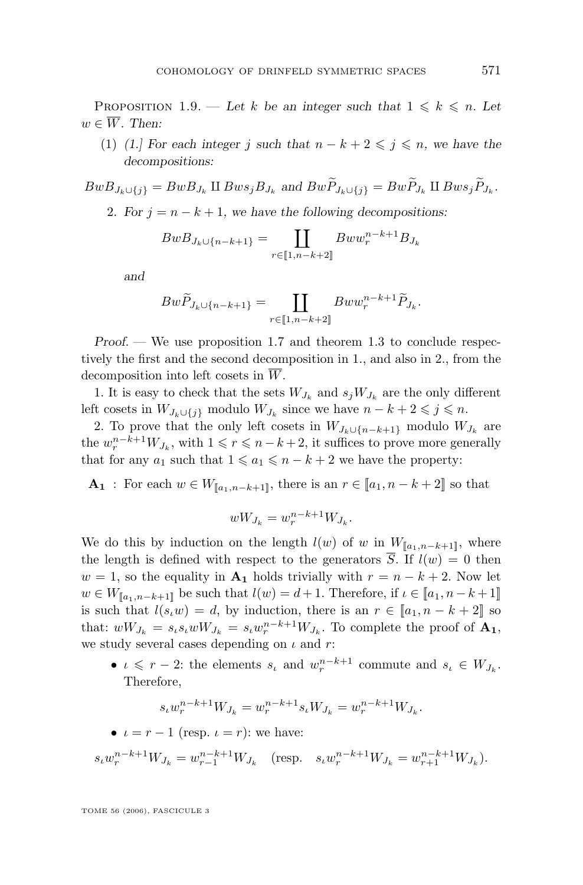PROPOSITION 1.9. — Let k be an integer such that  $1 \leq k \leq n$ . Let  $w \in \overline{W}$ . Then:

(1) *(1.)* For each integer j such that  $n - k + 2 \leq j \leq n$ , we have the *decompositions:*

 $BwB_{J_k\cup\{j\}} = BwB_{J_k}$  II  $Bws_jB_{J_k}$  and  $BwP_{J_k\cup\{j\}} = BwP_{J_k}$  II  $Bws_jP_{J_k}$ .

2. For  $j = n - k + 1$ , we have the following decompositions:

$$
BwB_{J_k \cup \{n-k+1\}} = \coprod_{r \in [\![1,n-k+2]\!]} Bww_r^{n-k+1}B_{J_k}
$$

*and*

$$
Bw\widetilde{P}_{J_k\cup\{n-k+1\}} = \coprod_{r\in\llbracket 1,n-k+2\rrbracket} Bww_r^{n-k+1}\widetilde{P}_{J_k}.
$$

*Proof.* — We use proposition [1.7](#page-9-0) and theorem [1.3](#page-8-0) to conclude respectively the first and the second decomposition in 1., and also in 2., from the decomposition into left cosets in  $\overline{W}$ .

1. It is easy to check that the sets  $W_{J_k}$  and  $s_j W_{J_k}$  are the only different left cosets in  $W_{J_k \cup \{j\}}$  modulo  $W_{J_k}$  since we have  $n - k + 2 \leq j \leq n$ .

2. To prove that the only left cosets in  $W_{J_k \cup \{n-k+1\}}$  modulo  $W_{J_k}$  are the  $w_r^{n-k+1}W_{J_k}$ , with  $1 \leq r \leq n-k+2$ , it suffices to prove more generally that for any  $a_1$  such that  $1 \leq a_1 \leq n - k + 2$  we have the property:

**A**<sub>1</sub> : For each  $w \in W_{\llbracket a_1, n-k+1 \rrbracket}$ , there is an  $r \in \llbracket a_1, n-k+2 \rrbracket$  so that

$$
wW_{J_k} = w_r^{n-k+1}W_{J_k}.
$$

We do this by induction on the length  $l(w)$  of w in  $W_{[a_1,n-k+1]}$ , where the length is defined with respect to the generators  $\overline{S}$ . If  $l(w) = 0$  then  $w = 1$ , so the equality in  $A_1$  holds trivially with  $r = n - k + 2$ . Now let  $w \in W_{\llbracket a_1, n-k+1 \rrbracket}$  be such that  $l(w) = d+1$ . Therefore, if  $\iota \in \llbracket a_1, n-k+1 \rrbracket$ is such that  $l(s_iw) = d$ , by induction, there is an  $r \in [a_1, n-k+2]$  so that:  $wW_{J_k} = s_{\iota} s_{\iota} wW_{J_k} = s_{\iota} w_r^{n-k+1} W_{J_k}$ . To complete the proof of  $\mathbf{A}_1$ , we study several cases depending on  $\iota$  and  $r$ :

•  $\iota \leq r-2$ : the elements  $s_{\iota}$  and  $w_r^{n-k+1}$  commute and  $s_{\iota} \in W_{J_k}$ . Therefore,

$$
s_{\iota} w_r^{n-k+1} W_{J_k} = w_r^{n-k+1} s_{\iota} W_{J_k} = w_r^{n-k+1} W_{J_k}.
$$

•  $\iota = r - 1$  (resp.  $\iota = r$ ): we have:

$$
s_{\iota} w_r^{n-k+1} W_{J_k} = w_{r-1}^{n-k+1} W_{J_k} \quad \text{(resp.} \quad s_{\iota} w_r^{n-k+1} W_{J_k} = w_{r+1}^{n-k+1} W_{J_k} \text{)}.
$$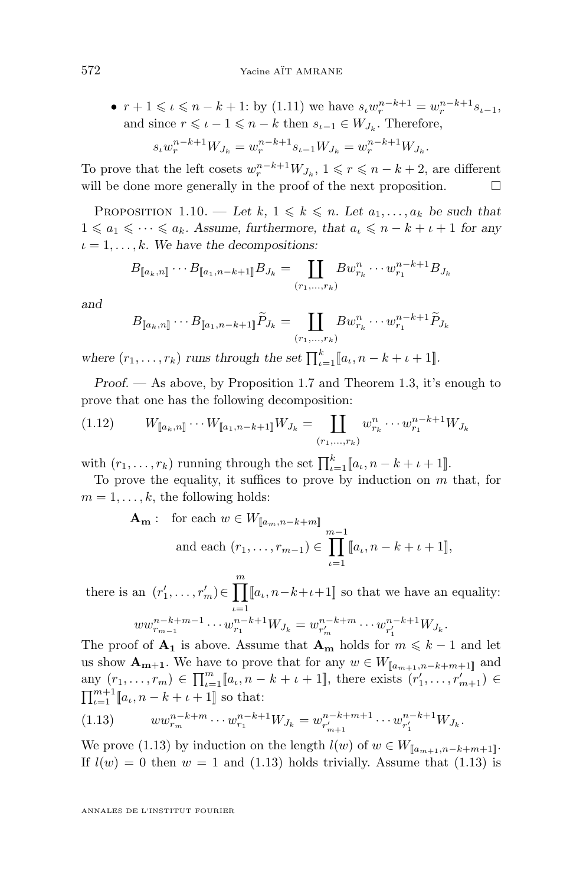<span id="page-12-0"></span>•  $r + 1 \leqslant \iota \leqslant n - k + 1$ : by [\(1.11\)](#page-10-0) we have  $s_{\iota} w_r^{n-k+1} = w_r^{n-k+1} s_{\iota-1}$ , and since  $r \leqslant \iota - 1 \leqslant n - k$  then  $s_{\iota-1} \in W_{J_k}$ . Therefore,  $s_{\iota}w_{r}^{n-k+1}W_{J_{k}} = w_{r}^{n-k+1}s_{\iota-1}W_{J_{k}} = w_{r}^{n-k+1}W_{J_{k}}.$ 

To prove that the left cosets  $w_r^{n-k+1}W_{J_k}$ ,  $1 \leq r \leq n-k+2$ , are different will be done more generally in the proof of the next proposition.  $\Box$ 

PROPOSITION 1.10. — Let  $k, 1 \leq k \leq n$ . Let  $a_1, \ldots, a_k$  be such that  $1 \leq a_1 \leq \cdots \leq a_k$ . Assume, furthermore, that  $a_i \leq n - k + i + 1$  for any  $\iota = 1, \ldots, k$ . We have the decompositions:

$$
B_{[\![a_k,n]\!]} \cdots B_{[\![a_1,n-k+1]\!]} B_{J_k} = \coprod_{(r_1,\ldots,r_k)} B w_{r_k}^n \cdots w_{r_1}^{n-k+1} B_{J_k}
$$

*and*

$$
B_{\llbracket a_k, n \rrbracket} \cdots B_{\llbracket a_1, n-k+1 \rrbracket} \widetilde{P}_{J_k} = \coprod_{(r_1, \ldots, r_k)} B w_{r_k}^n \cdots w_{r_1}^{n-k+1} \widetilde{P}_{J_k}
$$

where  $(r_1, \ldots, r_k)$  *runs through the set*  $\prod_{\iota=1}^k [a_\iota, n-k+\iota+1]$ .

*Proof.* — As above, by Proposition [1.7](#page-9-0) and Theorem [1.3,](#page-8-0) it's enough to prove that one has the following decomposition:

$$
(1.12) \t W_{[\![a_k,n]\!]} \cdots W_{[\![a_1,n-k+1]\!]} W_{J_k} = \coprod_{(r_1,\ldots,r_k)} w_{r_k}^n \cdots w_{r_1}^{n-k+1} W_{J_k}
$$

with  $(r_1, \ldots, r_k)$  running through the set  $\prod_{\iota=1}^k [a_{\iota}, n-k+\iota+1]$ .

To prove the equality, it suffices to prove by induction on  $m$  that, for  $m = 1, \ldots, k$ , the following holds:

$$
\mathbf{A}_{\mathbf{m}}: \text{ for each } w \in W_{[\![a_m, n-k+m]\!]} \text{ and each } (r_1, \ldots, r_{m-1}) \in \prod_{\iota=1}^{m-1} [\![a_{\iota}, n-k+\iota+1]\!],
$$

there is an  $(r'_1, \ldots, r'_m) \in \prod_{k=1}^m [a_k, n-k+\iota+1]$  so that we have an equality:  $\iota = 1$  $ww_{r_{m-1}}^{n-k+m-1} \cdots w_{r_1}^{n-k+1} W_{J_k} = w_{r'_m}^{n-k+m} \cdots w_{r'_1}^{n-k+1} W_{J_k}.$ 

The proof of  $A_1$  is above. Assume that  $A_m$  holds for  $m \leq k - 1$  and let us show  $\mathbf{A_{m+1}}$ . We have to prove that for any  $w \in W_{[a_{m+1},n-k+m+1]}$  and any  $(r_1, ..., r_m) \in \prod_{\iota=1}^m [a_{\iota}, n-k+\iota+1]$ , there exists  $(r'_1, ..., r'_{m+1}) \in$  $\prod_{\iota=1}^{m+1} [a_{\iota}, n-k+\iota+1]$  so that:

$$
(1.13) \t w w_{r_m}^{n-k+m} \cdots w_{r_1}^{n-k+1} W_{J_k} = w_{r'_{m+1}}^{n-k+m+1} \cdots w_{r'_1}^{n-k+1} W_{J_k}.
$$

We prove (1.13) by induction on the length  $l(w)$  of  $w \in W_{[\![a_{m+1}, n-k+m+1]\!]}$ . If  $l(w) = 0$  then  $w = 1$  and (1.13) holds trivially. Assume that (1.13) is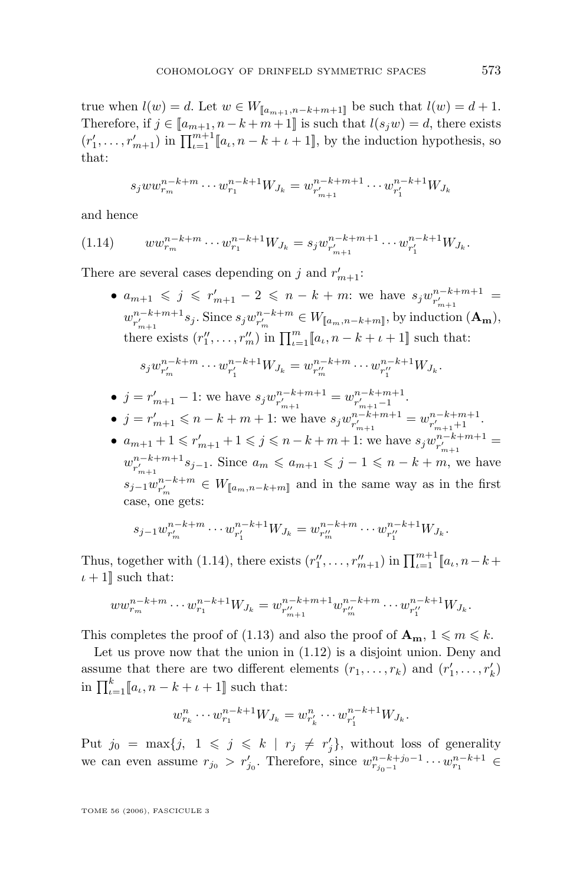true when  $l(w) = d$ . Let  $w \in W_{\llbracket a_{m+1}, n-k+m+1 \rrbracket}$  be such that  $l(w) = d+1$ . Therefore, if  $j \in [a_{m+1}, n-k+m+1]$  is such that  $l(s_jw) = d$ , there exists  $(r'_1, \ldots, r'_{m+1})$  in  $\prod_{\iota=1}^{m+1} [a_{\iota}, n-k+\iota+1]$ , by the induction hypothesis, so that:

$$
s_j w w_{r_m}^{n-k+m} \cdots w_{r_1}^{n-k+1} W_{J_k} = w_{r'_{m+1}}^{n-k+m+1} \cdots w_{r'_1}^{n-k+1} W_{J_k}
$$

and hence

$$
(1.14) \qquad ww^{n-k+m}_{r_m}\cdots w^{n-k+1}_{r_1}W_{J_k}=s_jw^{n-k+m+1}_{r'_{m+1}}\cdots w^{n-k+1}_{r'_1}W_{J_k}.
$$

There are several cases depending on j and  $r'_{m+1}$ :

•  $a_{m+1} \leqslant j \leqslant r'_{m+1} - 2 \leqslant n - k + m$ : we have  $s_j w_{r'_{m+1}}^{n-k+m+1} =$  $w_{r'_{m+1}}^{n-k+m+1} s_j$ . Since  $s_j w_{r'_m}^{n-k+m} \in W_{\llbracket a_m, n-k+m \rrbracket}$ , by induction  $(\mathbf{A}_{\mathbf{m}})$ , there exists  $(r''_1, \ldots, r''_m)$  in  $\prod_{\iota=1}^m [a_\iota, n-k+\iota+1]$  such that:

$$
s_j w_{r'_m}^{n-k+m} \cdots w_{r'_1}^{n-k+1} W_{J_k} = w_{r''_m}^{n-k+m} \cdots w_{r''_1}^{n-k+1} W_{J_k}.
$$

- $j = r'_{m+1} 1$ : we have  $s_j w^{n-k+m+1}_{r'_{m+1}} = w^{n-k+m+1}_{r'_{m+1}-1}$ .
- $j = r'_{m+1} \leq n k + m + 1$ : we have  $s_j w^{n-k+m+1}_{r'_{m+1}} = w^{n-k+m+1}_{r'_{m+1}+1}$ .
- $a_{m+1} + 1 \leq r'_{m+1} + 1 \leq j \leq n-k+m+1$ : we have  $s_j w^{n-k+m+1}_{r'_{m+1}} =$  $w_{r'_{m+1}}^{n-k+m+1} s_{j-1}$ . Since  $a_m \leq a_{m+1} \leq j-1 \leq n-k+m$ , we have  $s_{j-1}w_{r'_m}^{n-k+m} \in W_{[\![a_m,n-k+m]\!]}$  and in the same way as in the first case, one gets:

$$
s_{j-1}w_{r'_m}^{n-k+m}\cdots w_{r'_1}^{n-k+1}W_{J_k}=w_{r''_m}^{n-k+m}\cdots w_{r''_1}^{n-k+1}W_{J_k}.
$$

Thus, together with (1.14), there exists  $(r''_1, \ldots, r''_{m+1})$  in  $\prod_{\iota=1}^{m+1} [a_{\iota}, n-k+$  $\iota + 1$ ] such that:

$$
ww_{r_m}^{n-k+m} \cdots w_{r_1}^{n-k+1} W_{J_k} = w_{r''_{m+1}}^{n-k+m+1} w_{r''_m}^{n-k+m} \cdots w_{r''_1}^{n-k+1} W_{J_k}.
$$

This completes the proof of [\(1.13\)](#page-12-0) and also the proof of  $\mathbf{A}_{m}$ ,  $1 \leq m \leq k$ .

Let us prove now that the union in [\(1.12\)](#page-12-0) is a disjoint union. Deny and assume that there are two different elements  $(r_1, \ldots, r_k)$  and  $(r'_1, \ldots, r'_k)$ in  $\prod_{\iota=1}^k [a_{\iota}, n-k+\iota+1]$  such that:

$$
w_{r_k}^n \cdots w_{r_1}^{n-k+1} W_{J_k} = w_{r_k'}^n \cdots w_{r_1'}^{n-k+1} W_{J_k}.
$$

Put  $j_0 = \max\{j, 1 \leqslant j \leqslant k \mid r_j \neq r'_j\}$ , without loss of generality we can even assume  $r_{j_0} > r'_{j_0}$ . Therefore, since  $w_{r_{j_0-1}}^{n-k+j_0-1} \cdots w_{r_1}^{n-k+1} \in$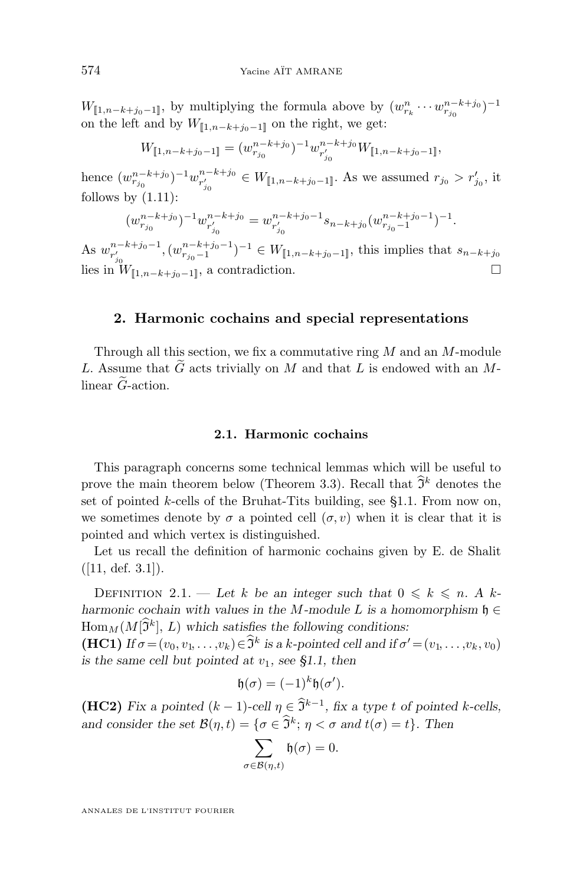<span id="page-14-0"></span> $W_{[\![1,n-k+j_0-1]\!]}$ , by multiplying the formula above by  $(w_{r_k}^n \cdots w_{r_{j_0}}^{n-k+j_0})^{-1}$ on the left and by  $W_{[1,n-k+i_0-1]}$  on the right, we get:

$$
W_{[\![1,n-k+j_0-1]\!]} = (w_{r_{j_0}}^{n-k+j_0})^{-1} w_{r'_{j_0}}^{n-k+j_0} W_{[\![1,n-k+j_0-1]\!]},
$$

hence  $(w_{r_{j_0}}^{n-k+j_0})^{-1}w_{r'_{j_0}}^{n-k+j_0} \in W_{[\![1,n-k+j_0-1]\!]}$ . As we assumed  $r_{j_0} > r'_{j_0}$ , it follows by  $(1.11)$ :

$$
(w_{r_{j_0}}^{n-k+j_0})^{-1}w_{r'_{j_0}}^{n-k+j_0}=w_{r'_{j_0}}^{n-k+j_0-1}s_{n-k+j_0}(w_{r_{j_0}-1}^{n-k+j_0-1})^{-1}.
$$

As  $w_{r'_{j_0}}^{n-k+j_0-1}$ ,  $(w_{r_{j_0}-1}^{n-k+j_0-1})^{-1} \in W_{[\![1,n-k+j_0-1]\!]}$ , this implies that  $s_{n-k+j_0}$ lies in  $W_{[\![1,n-k+j_0-1]\!]}$ , a contradiction.  $\Box$ 

#### **2. Harmonic cochains and special representations**

Through all this section, we fix a commutative ring  $M$  and an  $M$ -module L. Assume that  $\tilde{G}$  acts trivially on M and that L is endowed with an Mlinear  $\tilde{G}$ -action.

#### **2.1. Harmonic cochains**

This paragraph concerns some technical lemmas which will be useful to prove the main theorem below (Theorem [3.3\)](#page-35-0). Recall that  $\tilde{\mathfrak{I}}^k$  denotes the set of pointed k-cells of the Bruhat-Tits building, see  $\S1.1$ . From now on, we sometimes denote by  $\sigma$  a pointed cell  $(\sigma, v)$  when it is clear that it is pointed and which vertex is distinguished.

Let us recall the definition of harmonic cochains given by E. de Shalit  $([11, def. 3.1]).$  $([11, def. 3.1]).$  $([11, def. 3.1]).$ 

DEFINITION 2.1. — Let k be an integer such that  $0 \le k \le n$ . A k*harmonic cochain with values in the* M-module L is a homomorphism  $\mathfrak{h} \in$  $\text{Hom}_M(M[\tilde{\mathfrak{I}}^k], L)$  which satisfies the following conditions:

**(HC1)** *If*  $\sigma = (v_0, v_1, \dots, v_k) \in \tilde{\mathfrak{I}}^k$  is a k-pointed cell and if  $\sigma' = (v_1, \dots, v_k, v_0)$ *is the same cell but pointed at*  $v_1$ *, see [§1.1,](#page-5-0) then* 

$$
\mathfrak{h}(\sigma) = (-1)^k \mathfrak{h}(\sigma').
$$

**(HC2)** *Fix a pointed*  $(k-1)$ *-cell*  $\eta \in \hat{\mathfrak{I}}^{k-1}$ *, fix a type t of pointed k-cells, and consider the set*  $\mathcal{B}(\eta, t) = \{ \sigma \in \tilde{\mathfrak{I}}^k \, ; \, \eta < \sigma \text{ and } t(\sigma) = t \}.$  Then

$$
\sum_{\sigma \in \mathcal{B}(\eta,t)} \mathfrak{h}(\sigma) = 0.
$$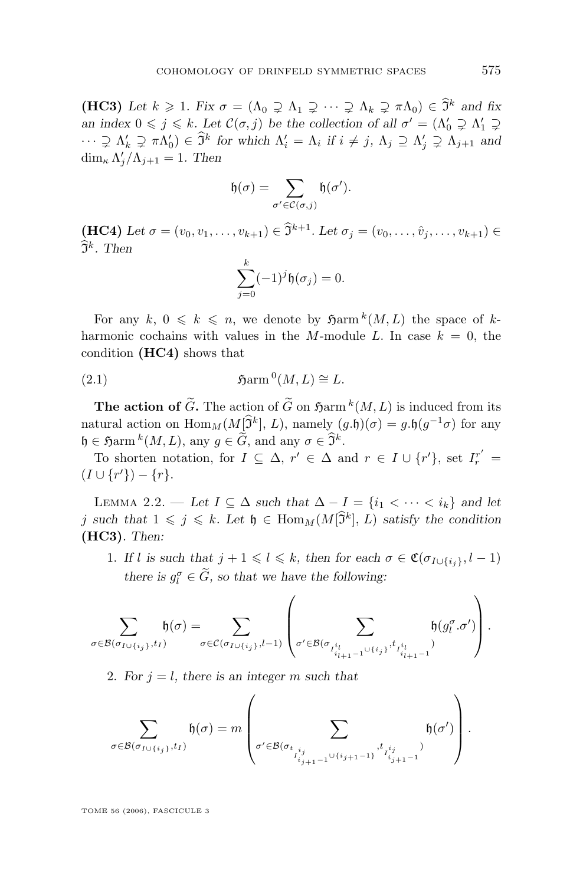<span id="page-15-0"></span>**(HC3)** Let  $k \geq 1$ . Fix  $\sigma = (\Lambda_0 \supseteq \Lambda_1 \supseteq \cdots \supseteq \Lambda_k \supseteq \pi \Lambda_0) \in \widehat{J}^k$  and fix *an index*  $0 \leq j \leq k$ *. Let*  $\mathcal{C}(\sigma, j)$  *be the collection of all*  $\sigma' = (\Lambda'_0 \supsetneq \Lambda'_1 \supsetneq \Lambda'_2)$  $\cdots \supsetneq \Lambda'_k \supsetneq \pi \Lambda'_0$   $\in \widehat{J}^k$  for which  $\Lambda'_i = \Lambda_i$  if  $i \neq j$ ,  $\Lambda_j \supseteq \Lambda'_j \supsetneq \Lambda_{j+1}$  and dim<sub> $\kappa$ </sub>  $\Lambda'_j/\Lambda_{j+1} = 1$ . Then

$$
\mathfrak{h}(\sigma)=\sum_{\sigma'\in\mathcal{C}(\sigma,j)}\mathfrak{h}(\sigma').
$$

**(HC4)** Let  $\sigma = (v_0, v_1, \ldots, v_{k+1}) \in \mathfrak{I}^{k+1}$ . Let  $\sigma_j = (v_0, \ldots, \hat{v}_j, \ldots, v_{k+1}) \in$  $\mathfrak{I}^k$ . Then

$$
\sum_{j=0}^k (-1)^j \mathfrak{h}(\sigma_j) = 0.
$$

For any  $k, 0 \leq k \leq n$ , we denote by  $\mathfrak{Harm}^k(M, L)$  the space of kharmonic cochains with values in the M-module L. In case  $k = 0$ , the condition **(HC4)** shows that

(2.1) 
$$
\qquad \qquad \mathfrak{Harm}^0(M,L) \cong L.
$$

**The action of**  $\tilde{G}$ **. The action of**  $\tilde{G}$  **on**  $\mathfrak{H}$ **arm**  ${}^k(M, L)$  **is induced from its** natural action on  $\text{Hom}_M(M[\hat{\mathfrak{I}}^k], L)$ , namely  $(g.\mathfrak{h})(\sigma) = g.\mathfrak{h}(g^{-1}\sigma)$  for any  $\mathfrak{h} \in \mathfrak{H} \text{arm}^k(M, L)$ , any  $g \in \widehat{G}$ , and any  $\sigma \in \widehat{\mathfrak{I}^k}$ .

To shorten notation, for  $I \subseteq \Delta$ ,  $r' \in \Delta$  and  $r \in I \cup \{r'\}$ , set  $I_r^{r'} =$  $(I \cup \{r'\}) - \{r\}.$ 

LEMMA 2.2. — Let *I* ⊆ Δ *such that*  $Δ - I = {i<sub>1</sub> < ··· < i<sub>k</sub>}$  *and let* j such that  $1 \leqslant j \leqslant k$ . Let  $\mathfrak{h} \in \text{Hom}_M(M[\hat{\mathfrak{I}}^k], L)$  satisfy the condition **(HC3)***. Then:*

1. If l is such that  $j + 1 \leq l \leq k$ , then for each  $\sigma \in \mathfrak{C}(\sigma_{I \cup \{i_i\}}, l - 1)$ *there is*  $g_l^{\sigma} \in \tilde{G}$ *, so that we have the following:* 

$$
\sum_{\sigma\in\mathcal{B}(\sigma_{I\cup\{i_j\}},t_I)}\mathfrak{h}(\sigma)=\sum_{\sigma\in\mathcal{C}(\sigma_{I\cup\{i_j\}},l-1)}\left(\sum_{\sigma'\in\mathcal{B}(\sigma_{I^{i_l}_{i_{l+1}-1}\cup\{i_j\}},t_{I^{i_l}_{i_{l+1}-1}})}\mathfrak{h}(g_l^{\sigma}.\sigma')\right).
$$

2. For  $j = l$ , there is an integer m such that

$$
\sum_{\sigma \in \mathcal{B}(\sigma_{I \cup \{i_j\}}, t_I)} \mathfrak{h}(\sigma) = m \left( \sum_{\sigma' \in \mathcal{B}(\sigma_{t_{i_{j+1}-1}} \cup \{i_{j+1}-1\}} \mathfrak{f}_{t_{i_{j+1}-1}}^{t_{i_j}})} \mathfrak{h}(\sigma') \right).
$$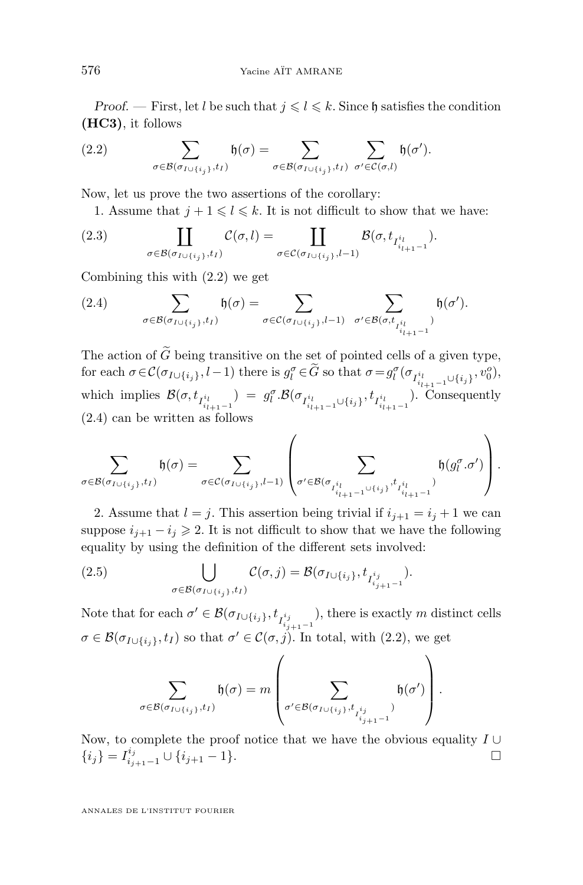<span id="page-16-0"></span>*Proof.* — First, let l be such that  $j \leq l \leq k$ . Since h satisfies the condition **(HC3)**, it follows

(2.2) 
$$
\sum_{\sigma \in \mathcal{B}(\sigma_{I \cup \{i_j\}}, t_I)} \mathfrak{h}(\sigma) = \sum_{\sigma \in \mathcal{B}(\sigma_{I \cup \{i_j\}}, t_I)} \sum_{\sigma' \in \mathcal{C}(\sigma, l)} \mathfrak{h}(\sigma').
$$

Now, let us prove the two assertions of the corollary:

1. Assume that  $j + 1 \leq l \leq k$ . It is not difficult to show that we have:

(2.3) 
$$
\coprod_{\sigma \in \mathcal{B}(\sigma_{I \cup \{i_j\}}, t_I)} \mathcal{C}(\sigma, l) = \coprod_{\sigma \in \mathcal{C}(\sigma_{I \cup \{i_j\}}, l-1)} \mathcal{B}(\sigma, t_{I_{i_{l+1}-1}^i}).
$$

Combining this with (2.2) we get

(2.4) 
$$
\sum_{\sigma \in \mathcal{B}(\sigma_{I \cup \{i_j\}}, t_I)} \mathfrak{h}(\sigma) = \sum_{\sigma \in \mathcal{C}(\sigma_{I \cup \{i_j\}}, l-1)} \sum_{\sigma' \in \mathcal{B}(\sigma, t_{I_{i_{l+1}-1}^{i_l}})} \mathfrak{h}(\sigma').
$$

The action of G being transitive on the set of pointed cells of a given type, for each  $\sigma \in \mathcal{C}(\sigma_{I \cup \{i_j\}}, l-1)$  there is  $g_l^{\sigma} \in \tilde{G}$  so that  $\sigma = g_l^{\sigma}(\sigma_{I_{i_{l+1}-1}^{i_l}\cup \{i_j\}}, v_0^{\sigma}),$ which implies  $\mathcal{B}(\sigma, t_{I_{i_{l+1}-1}^{i_l}}) = g_l^{\sigma} \cdot \mathcal{B}(\sigma_{I_{i_{l+1}-1}^{i_l} \cup \{i_j\}}, t_{I_{i_{l+1}-1}^{i_l}})$ . Consequently (2.4) can be written as follows

$$
\sum_{\sigma \in \mathcal{B}(\sigma_{I \cup \{i_j\}}, t_I)} \mathfrak{h}(\sigma) = \sum_{\sigma \in \mathcal{C}(\sigma_{I \cup \{i_j\}}, I-1)} \left( \sum_{\sigma' \in \mathcal{B}(\sigma_{I_{i_{l+1}-1}^i \cup \{i_j\}}, t_{I_{i_{l+1}-1}^i})} \mathfrak{h}(g_l^{\sigma} \cdot \sigma') \right).
$$

2. Assume that  $l = j$ . This assertion being trivial if  $i_{j+1} = i_j + 1$  we can suppose  $i_{j+1} - i_j \geq 2$ . It is not difficult to show that we have the following equality by using the definition of the different sets involved:

(2.5) 
$$
\bigcup_{\sigma \in \mathcal{B}(\sigma_{I \cup \{i_j\}}, t_I)} \mathcal{C}(\sigma, j) = \mathcal{B}(\sigma_{I \cup \{i_j\}}, t_{I^{i_j}_{i_{j+1}-1}}).
$$

Note that for each  $\sigma' \in \mathcal{B}(\sigma_{I \cup \{i_j\}}, t_{I_{i_{j+1}-1}^{i_j}})$ , there is exactly m distinct cells  $\sigma \in \mathcal{B}(\sigma_{I \cup \{i_j\}}, t_I)$  so that  $\sigma' \in \mathcal{C}(\sigma, j)$ . In total, with  $(2.2)$ , we get

$$
\sum_{\sigma \in \mathcal{B}(\sigma_{I \cup \{i_j\}}, t_I)} \mathfrak{h}(\sigma) = m \left( \sum_{\sigma' \in \mathcal{B}(\sigma_{I \cup \{i_j\}}, t_{i_j, \atop I_{i_{j+1}-1}^i})} \mathfrak{h}(\sigma') \right).
$$

Now, to complete the proof notice that we have the obvious equality  $I \cup$  $\{i_j\} = I^{i_j}_{i_{j+1}-1} \cup \{i_{j+1}-1\}.$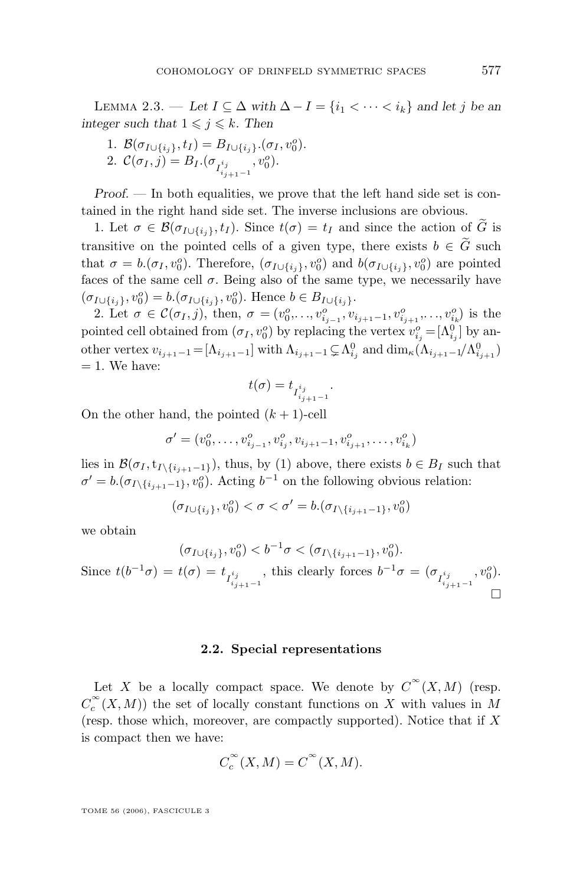LEMMA 2.3. — Let  $I \subseteq \Delta$  with  $\Delta - I = \{i_1 < \cdots < i_k\}$  and let j be an *integer such that*  $1 \leq j \leq k$ *. Then* 

1. 
$$
\mathcal{B}(\sigma_{I \cup \{i_j\}}, t_I) = B_{I \cup \{i_j\}}.(\sigma_I, v_0^o).
$$
  
2.  $\mathcal{C}(\sigma_I, j) = B_I.(\sigma_{I_{i_{j+1}-1}^{i_j}}, v_0^o).$ 

*Proof.* — In both equalities, we prove that the left hand side set is contained in the right hand side set. The inverse inclusions are obvious.

1. Let  $\sigma \in \mathcal{B}(\sigma_{I \cup \{i_j\}}, t_I)$ . Since  $t(\sigma) = t_I$  and since the action of  $\tilde{G}$  is transitive on the pointed cells of a given type, there exists  $b \in \tilde{G}$  such that  $\sigma = b.(\sigma_I, v_0^o)$ . Therefore,  $(\sigma_{I \cup \{i_j\}}, v_0^o)$  and  $b(\sigma_{I \cup \{i_j\}}, v_0^o)$  are pointed faces of the same cell  $\sigma$ . Being also of the same type, we necessarily have  $(\sigma_{I \cup \{i_j\}}, v_0^o) = b.(\sigma_{I \cup \{i_j\}}, v_0^o)$ . Hence  $b \in B_{I \cup \{i_j\}}$ .

2. Let  $\sigma \in \mathcal{C}(\sigma_I, j)$ , then,  $\sigma = (v_0^o, \ldots, v_{i_{j-1}}^o, v_{i_{j+1}-1}, v_{i_{j+1}}^o, \ldots, v_{i_k}^o)$  is the pointed cell obtained from  $(\sigma_I, v_0^o)$  by replacing the vertex  $v_{i_j}^o = [\Lambda_{i_j}^0]$  by another vertex  $v_{i_{j+1}-1} = [\Lambda_{i_{j+1}-1}]$  with  $\Lambda_{i_{j+1}-1} \subsetneq \Lambda_{i_j}^0$  and  $\dim_{\kappa}(\Lambda_{i_{j+1}-1}/\Lambda_{i_{j+1}}^0)$  $= 1$ . We have:

$$
t(\sigma)=t_{I^{i_j}_{i_{j+1}-1}}.
$$

On the other hand, the pointed  $(k + 1)$ -cell

$$
\sigma' = (v_0^o, \dots, v_{i_{j-1}}^o, v_{i_j}^o, v_{i_{j+1}-1}, v_{i_{j+1}}^o, \dots, v_{i_k}^o)
$$

lies in  $\mathcal{B}(\sigma_I, t_{I\setminus\{i_{j+1}-1\}})$ , thus, by (1) above, there exists  $b \in B_I$  such that  $\sigma' = b.(\sigma_{I \setminus \{i_{j+1}-1\}}, v_0^o)$ . Acting  $b^{-1}$  on the following obvious relation:

$$
(\sigma_{I\cup\{i_j\}},v_0^o)<\sigma<\sigma'=b.(\sigma_{I\setminus\{i_{j+1}-1\}},v_0^o)
$$

we obtain

$$
(\sigma_{I \cup \{i_j\}}, v_0^o) < b^{-1} \sigma < (\sigma_{I \setminus \{i_{j+1}-1\}}, v_0^o).
$$
\nSince  $t(b^{-1}\sigma) = t(\sigma) = t_{I_{i_{j+1}-1}^{i_j}}$ , this clearly forces  $b^{-1}\sigma = (\sigma_{I_{i_{j+1}-1}^{i_j}}, v_0^o).$ 

\n
$$
\Box
$$

#### **2.2. Special representations**

Let X be a locally compact space. We denote by  $\overline{C}^{\infty}(X,M)$  (resp.  $C_c^{\infty}(X, M)$  the set of locally constant functions on X with values in M (resp. those which, moreover, are compactly supported). Notice that if  $X$ is compact then we have:

$$
C_c^{\infty}(X, M) = C^{\infty}(X, M).
$$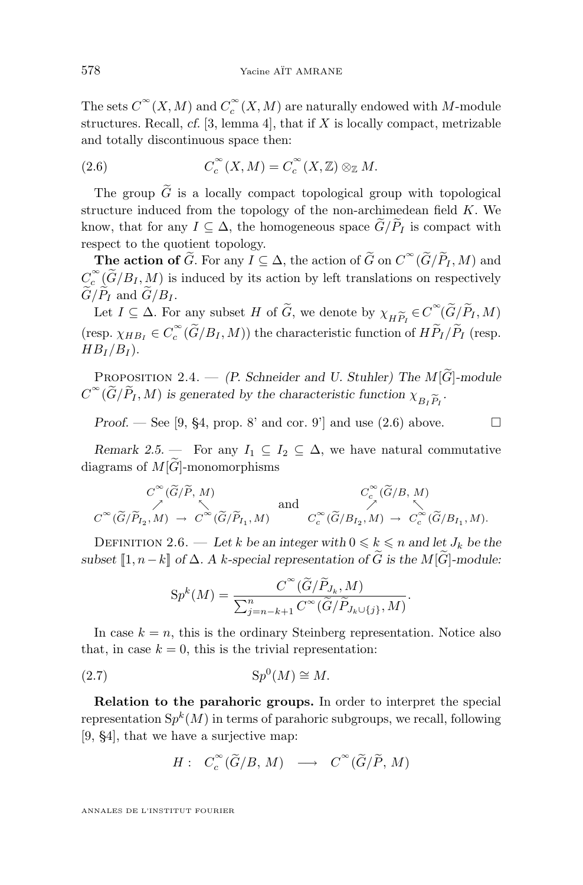<span id="page-18-0"></span>The sets  $\operatorname{C{}}^\infty(X,M)$  and  $\operatorname{C{}}^\infty_c(X,M)$  are naturally endowed with M-module structures. Recall,  $cf.$  [\[3,](#page-36-0) lemma 4], that if  $X$  is locally compact, metrizable and totally discontinuous space then:

(2.6) 
$$
C_c^{\infty}(X,M) = C_c^{\infty}(X,\mathbb{Z}) \otimes_{\mathbb{Z}} M.
$$

The group  $\widetilde{G}$  is a locally compact topological group with topological structure induced from the topology of the non-archimedean field  $K$ . We know, that for any  $I \subseteq \Delta$ , the homogeneous space  $\widetilde{G}/\widetilde{P}_I$  is compact with respect to the quotient topology.

**The action of**  $\widetilde{G}$ . For any  $I \subseteq \Delta$ , the action of  $\widetilde{G}$  on  $C^{\infty}(\widetilde{G}/\widetilde{P}_I, M)$  and  $\widetilde{G} \subset \widetilde{G}$ .  $C_c^{\infty}(\widetilde{G}/B_I, M)$  is induced by its action by left translations on respectively  $\widetilde{G}/\widetilde{P}_I$  and  $\widetilde{G}/B_I$ .

Let  $I \subseteq \Delta$ . For any subset H of  $\tilde{G}$ , we denote by  $\chi_{H\widetilde{P}_I} \in C^{\infty}(\widetilde{G}/\widetilde{P}_I, M)$ <br>SED  $\chi_{H\widetilde{P}_I} \in C^{\infty}(\widetilde{G}/R_L, M)$  the characteristic function of  $H\widetilde{P}_L/\widetilde{P}_L$  (resp. (resp.  $\chi_{HB_I} \in C_c^{\infty}(\widetilde{G}/B_I, M)$ ) the characteristic function of  $H\widetilde{P}_I/\widetilde{P}_I$  (resp.  $HB_I/B_I$ ).

PROPOSITION 2.4. — *(P. Schneider and U. Stuhler) The M*<sup>[ $\widetilde{G}$ ]-module</sup>  $C^{\infty}(\widetilde{G}/\widetilde{P}_I, M)$  is generated by the characteristic function  $\chi_{B_I \widetilde{P}_I}$ .

*Proof.* — See [\[9,](#page-37-0) §4, prop. 8' and cor. 9'] and use  $(2.6)$  above.  $\Box$ 

*Remark 2.5.* — For any  $I_1 \subseteq I_2 \subseteq \Delta$ , we have natural commutative diagrams of  $M[\widetilde{G}]$ -monomorphisms

$$
C^{\infty}(\widetilde{G}/\widetilde{P}, M) \longrightarrow C^{\infty}(\widetilde{G}/\widetilde{P}_{I_1}, M) \text{ and } C^{\infty}_c(\widetilde{G}/B, M) \longrightarrow C^{\infty}(\widetilde{G}/\widetilde{P}_{I_1}, M) \longrightarrow C^{\infty}_c(\widetilde{G}/B_{I_2}, M) \longrightarrow C^{\infty}_c(\widetilde{G}/B_{I_1}, M).
$$

DEFINITION 2.6. — Let k be an integer with  $0 \le k \le n$  and let  $J_k$  be the *subset*  $[1, n-k]$  *of*  $\Delta$ *.* A k-special representation of  $\tilde{G}$  *is the* M[ $\tilde{G}$ ]-module:

$$
Sp^{k}(M) = \frac{C^{\infty}(\widetilde{G}/\widetilde{P}_{J_k}, M)}{\sum_{j=n-k+1}^{n} C^{\infty}(\widetilde{G}/\widetilde{P}_{J_k \cup \{j\}}, M)}.
$$

In case  $k = n$ , this is the ordinary Steinberg representation. Notice also that, in case  $k = 0$ , this is the trivial representation:

$$
(2.7) \t\t\t Sp0(M) \cong M.
$$

**Relation to the parahoric groups.** In order to interpret the special representation  $\mathrm Sp^k(M)$  in terms of parahoric subgroups, we recall, following [\[9,](#page-37-0) §4], that we have a surjective map:

$$
H: C_c^{\infty}(\widetilde{G}/B, M) \longrightarrow C^{\infty}(\widetilde{G}/\widetilde{P}, M)
$$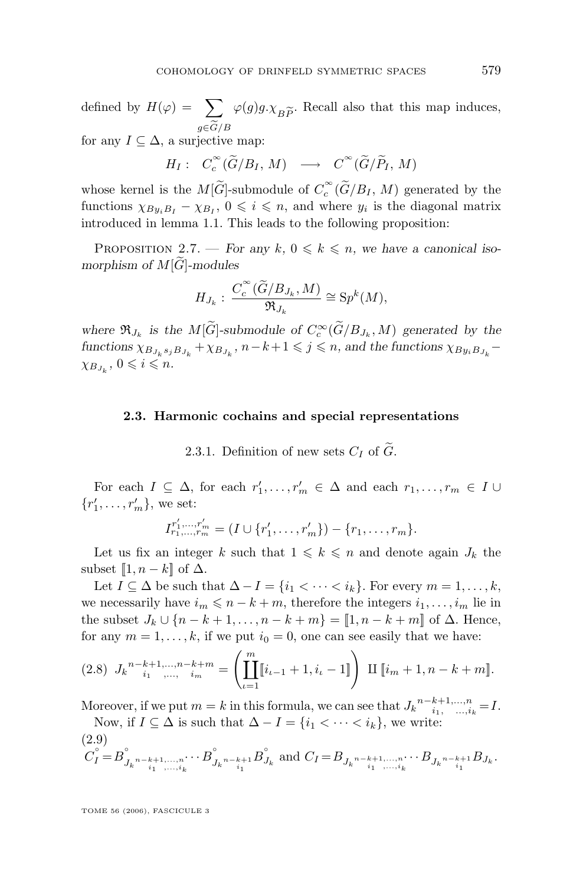<span id="page-19-0"></span>defined by  $H(\varphi) = \sum_{g \in \widetilde{G}/R} \varphi(g)g \cdot \chi_{B\widetilde{P}}$ . Recall also that this map induces, for any  $I \subseteq \Delta$ , a surjective map:

 $H_I: C_c^{\infty}(\widetilde{G}/B_I, M) \longrightarrow C^{\infty}(\widetilde{G}/\widetilde{P}_I, M)$ 

whose kernel is the  $M[\widetilde{G}]$ -submodule of  $C_c^{\infty}(\widetilde{G}/B_I, M)$  generated by the functions  $\chi_{By_iB_I} - \chi_{B_I}$ ,  $0 \leq i \leq n$ , and where  $y_i$  is the diagonal matrix introduced in lemma [1.1.](#page-6-0) This leads to the following proposition:

PROPOSITION 2.7. — *For any*  $k, 0 \leq k \leq n$ , we have a canonical iso*morphism of*  $M[\widehat{G}]$ -modules

$$
H_{J_k}: \frac{C_c^{\infty}(\widetilde{G}/B_{J_k}, M)}{\mathfrak{R}_{J_k}} \cong Sp^k(M),
$$

where  $\mathfrak{R}_{J_k}$  is the  $M[\tilde{G}]$ -submodule of  $C_c^{\infty}(\tilde{G}/B_{J_k}, M)$  generated by the  $functions \chi_{B_{J_k}s_jB_{J_k}} + \chi_{B_{J_k}}$ ,  $n-k+1 \leqslant j \leqslant n$ , and the functions  $\chi_{B_{J_i}B_{J_k}} \chi_{B_{J_k}}$ ,  $0 \leqslant i \leqslant n$ .

#### **2.3. Harmonic cochains and special representations**

2.3.1. Definition of new sets  $C_I$  of  $\tilde{G}$ .

For each  $I \subseteq \Delta$ , for each  $r'_1, \ldots, r'_m \in \Delta$  and each  $r_1, \ldots, r_m \in I \cup$  ${r'_1, \ldots, r'_m\}$ , we set:

$$
I^{r'_1,\dots,r'_m}_{r_1,\dots,r_m} = (I \cup \{r'_1,\dots,r'_m\}) - \{r_1,\dots,r_m\}.
$$

Let us fix an integer k such that  $1 \leq k \leq n$  and denote again  $J_k$  the subset  $\llbracket 1, n-k \rrbracket$  of  $\Delta$ .

Let  $I \subseteq \Delta$  be such that  $\Delta - I = \{i_1 < \cdots < i_k\}$ . For every  $m = 1, \ldots, k$ , we necessarily have  $i_m \leq n - k + m$ , therefore the integers  $i_1, \ldots, i_m$  lie in the subset  $J_k \cup \{n-k+1,\ldots,n-k+m\} = [1,n-k+m]$  of  $\Delta$ . Hence, for any  $m = 1, \ldots, k$ , if we put  $i_0 = 0$ , one can see easily that we have:

$$
(2.8) \ J_k^{n-k+1,\dots,n-k+m} = \left(\prod_{\iota=1}^m \llbracket i_{\iota-1}+1, i_{\iota}-1 \rrbracket \right) \ \amalg \ \llbracket i_m+1, n-k+m \rrbracket.
$$

Moreover, if we put  $m = k$  in this formula, we can see that  $J_k \stackrel{n-k+1,...,n}{i_1, \ldots, i_k} = I$ . Now, if  $I \subseteq \Delta$  is such that  $\Delta - I = \{i_1 < \cdots < i_k\}$ , we write:

$$
(2.9) \tC_I^{\circ} = B_{J_k^{n-k+1,\dots,n}}^{\circ} \t\t\cdots B_{J_k^{n-k+1}}^{\circ} B_{J_k}^{\circ} \text{ and } C_I = B_{J_k^{n-k+1,\dots,n}} \t\t\cdots B_{J_k^{n-k+1}} B_{J_k}.
$$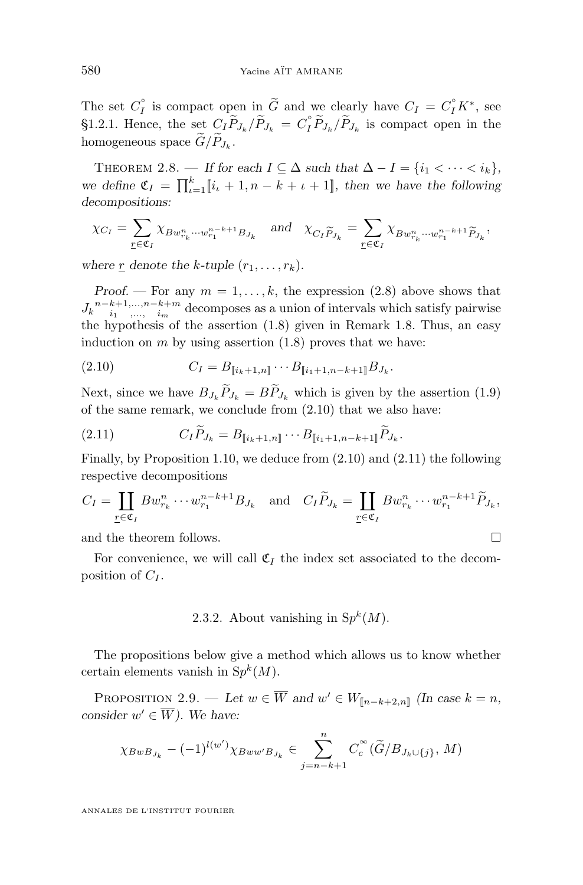The set  $C_I^{\circ}$  is compact open in  $\widetilde{G}$  and we clearly have  $C_I = C_I^{\circ} K^*$ , see [§1.2.1.](#page-7-0) Hence, the set  $C_I \widetilde{P}_{J_k}/\widetilde{P}_{J_k} = C_I^{\circ} \widetilde{P}_{J_k}/\widetilde{P}_{J_k}$  is compact open in the homogeneous space  $G/P_{J_k}$ .

THEOREM 2.8. — If for each  $I \subseteq \Delta$  such that  $\Delta - I = \{i_1 < \cdots < i_k\},\$ we define  $\mathfrak{C}_I = \prod_{\iota=1}^k [i_{\iota} + 1, n - k + \iota + 1]$ *, then we have the following decompositions:*

$$
\chi_{C_I} = \sum_{\underline{r} \in \mathfrak{C}_I} \chi_{Bw_{r_k}^n \cdots w_{r_1}^{n-k+1} B_{J_k}} \quad \text{and} \quad \chi_{C_I \widetilde{P}_{J_k}} = \sum_{\underline{r} \in \mathfrak{C}_I} \chi_{Bw_{r_k}^n \cdots w_{r_1}^{n-k+1} \widetilde{P}_{J_k}},
$$

where r denote the k-tuple  $(r_1, \ldots, r_k)$ .

*Proof.* — For any  $m = 1, \ldots, k$ , the expression [\(2.8\)](#page-19-0) above shows that  $J_k \frac{n-k+1,\ldots,n-k+m}{i_1,\ldots,i_m}$  decomposes as a union of intervals which satisfy pairwise the hypothesis of the assertion [\(1.8\)](#page-10-0) given in Remark [1.8.](#page-10-0) Thus, an easy induction on  $m$  by using assertion  $(1.8)$  proves that we have:

(2.10) 
$$
C_I = B_{[\![i_k+1,n]\!]} \cdots B_{[\![i_1+1,n-k+1]\!]} B_{J_k}.
$$

Next, since we have  $B_{J_k} \tilde{P}_{J_k} = B \tilde{P}_{J_k}$  which is given by the assertion [\(1.9\)](#page-10-0) of the same remark, we conclude from (2.10) that we also have:

(2.11) 
$$
C_{I}\widetilde{P}_{J_{k}} = B_{\llbracket i_{k+1,n} \rrbracket} \cdots B_{\llbracket i_{1}+1,n-k+1 \rrbracket} \widetilde{P}_{J_{k}}.
$$

Finally, by Proposition [1.10,](#page-12-0) we deduce from (2.10) and (2.11) the following respective decompositions

$$
C_I = \coprod_{\underline{r} \in \mathfrak{C}_I} B w_{r_k}^n \cdots w_{r_1}^{n-k+1} B_{J_k} \quad \text{and} \quad C_I \widetilde{P}_{J_k} = \coprod_{\underline{r} \in \mathfrak{C}_I} B w_{r_k}^n \cdots w_{r_1}^{n-k+1} \widetilde{P}_{J_k},
$$

and the theorem follows.

For convenience, we will call  $\mathfrak{C}_I$  the index set associated to the decomposition of  $C_I$ .

2.3.2. About vanishing in  $Sp<sup>k</sup>(M)$ .

The propositions below give a method which allows us to know whether certain elements vanish in  $Sp<sup>k</sup>(M)$ .

PROPOSITION 2.9. — Let  $w \in \overline{W}$  and  $w' \in W_{\llbracket n-k+2,n \rrbracket}$  *(In case k = n, consider*  $w' \in \overline{W}$ *). We have:* 

$$
\chi_{BwB_{J_k}} - (-1)^{l(w')} \chi_{Bw w' B_{J_k}} \in \sum_{j=n-k+1}^n C_c^{\infty}(\tilde{G}/B_{J_k \cup \{j\}}, M)
$$

<span id="page-20-0"></span>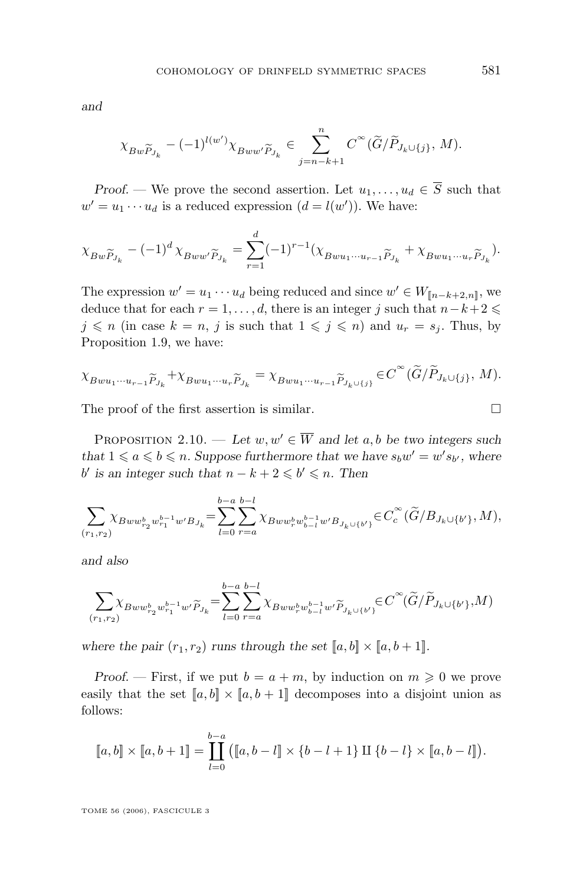<span id="page-21-0"></span>*and*

$$
\chi_{Bw\widetilde{P}_{J_k}}-(-1)^{l(w')}\chi_{Bww'\widetilde{P}_{J_k}}\in \sum_{j=n-k+1}^n C^{\infty}(\widetilde{G}/\widetilde{P}_{J_k\cup\{j\}},\,M).
$$

*Proof.* — We prove the second assertion. Let  $u_1, \ldots, u_d \in \overline{S}$  such that  $w' = u_1 \cdots u_d$  is a reduced expression  $(d = l(w'))$ . We have:

$$
\chi_{Bw\widetilde{P}_{J_k}} - (-1)^d \chi_{Bww'\widetilde{P}_{J_k}} = \sum_{r=1}^d (-1)^{r-1} (\chi_{Bwu_1\cdots u_{r-1}\widetilde{P}_{J_k}} + \chi_{Bwu_1\cdots u_r\widetilde{P}_{J_k}}).
$$

The expression  $w' = u_1 \cdots u_d$  being reduced and since  $w' \in W_{[\![n-k+2,n]\!]}$ , we deduce that for each  $r = 1, \ldots, d$ , there is an integer j such that  $n-k+2 \leq$  $j \leq n$  (in case  $k = n$ , j is such that  $1 \leq j \leq n$ ) and  $u_r = s_j$ . Thus, by Proposition [1.9,](#page-10-0) we have:

$$
\chi_{Bwu_1\cdots u_{r-1}\widetilde{P}_{J_k}} + \chi_{Bwu_1\cdots u_r\widetilde{P}_{J_k}} = \chi_{Bwu_1\cdots u_{r-1}\widetilde{P}_{J_k\cup\{j\}}} \in C^{\infty}(\widetilde{G}/\widetilde{P}_{J_k\cup\{j\}}, M).
$$

The proof of the first assertion is similar.  $\Box$ 

PROPOSITION 2.10. — Let  $w, w' \in \overline{W}$  and let a, b be two integers such that  $1 \leq a \leq b \leq n$ . Suppose furthermore that we have  $s_bw' = w's_{b'}$ , where *b'* is an integer such that  $n - k + 2 \leq b' \leq n$ . Then

$$
\sum_{(r_1,r_2)} \chi_{Bww_{r_2}^b w_{r_1}^{b-1} w'B_{J_k}} = \sum_{l=0}^{b-a} \sum_{r=a}^{b-l} \chi_{Bww_r^b w_{b-l}^{b-1} w'B_{J_k \cup \{b'\}}} \in C_c^{\infty}(\widetilde{G}/B_{J_k \cup \{b'\}}, M),
$$

*and also*

$$
\sum_{(r_1,r_2)} \!\!\!\chi_{Bww_{r_2}^bw_{r_1}^{b-1}w'}\!\!\!\widetilde{\rho}_{J_k}\!=\!\sum_{l=0}^{b-a}\sum_{r=a}^{b-l}\!\!\chi_{Bww_r^bw_{b-l}^b w'}\!\!\!\widetilde{\rho}_{J_k\cup\{b'\}}\!\!\in\!C^\infty(\widetilde{G}/\widetilde{P}_{J_k\cup\{b'\}},\!M)
$$

where the pair  $(r_1, r_2)$  runs through the set  $[a, b] \times [a, b + 1]$ *.* 

*Proof.* — First, if we put  $b = a + m$ , by induction on  $m \geq 0$  we prove easily that the set  $[a, b] \times [a, b + 1]$  decomposes into a disjoint union as follows:

$$
[\![a,b]\!] \times [\![a,b+1]\!] = \prod_{l=0}^{b-a} ([\![a,b-l]\!] \times \{b-l+1\} \amalg \{b-l\} \times [\![a,b-l]\!]).
$$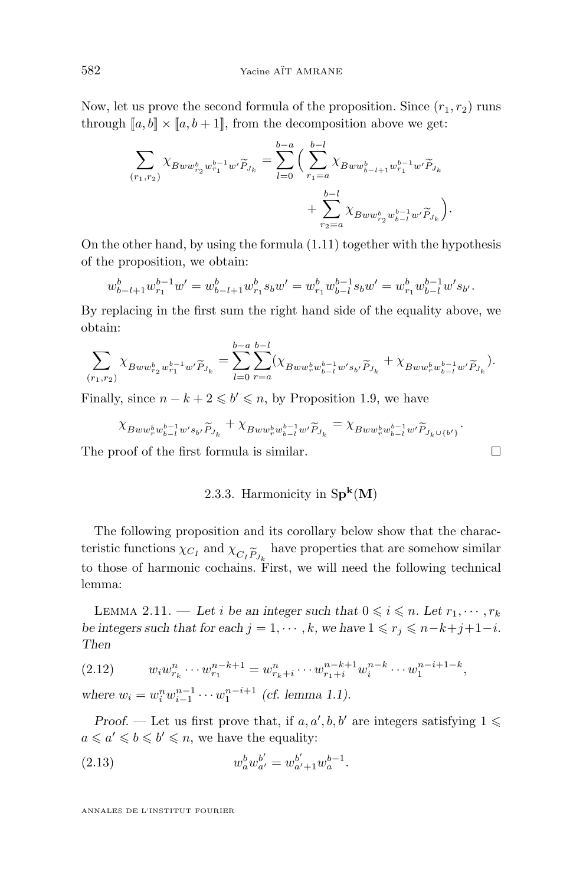<span id="page-22-0"></span>Now, let us prove the second formula of the proposition. Since  $(r_1, r_2)$  runs through  $[a, b] \times [a, b + 1]$ , from the decomposition above we get:

$$
\begin{split} \sum_{(r_1,r_2)} \chi_{Bw w_{r_2}^b w_{r_1}^{b-1} w' \widetilde{P}_{J_k}} &= \sum_{l=0}^{b-a} \Big( \sum_{r_1=a}^{b-l} \chi_{Bw w_{b-l+1}^b w_{r_1}^{b-1} w' \widetilde{P}_{J_k}} \\ &+ \sum_{r_2=a}^{b-l} \chi_{Bw w_{r_2}^b w_{b-l}^{b-1} w' \widetilde{P}_{J_k}} \Big). \end{split}
$$

On the other hand, by using the formula [\(1.11\)](#page-10-0) together with the hypothesis of the proposition, we obtain:

$$
w_{b-l+1}^b w_{r_1}^{b-1} w' = w_{b-l+1}^b w_{r_1}^b s_b w' = w_{r_1}^b w_{b-l}^{b-1} s_b w' = w_{r_1}^b w_{b-l}^{b-1} w' s_{b'}.
$$

By replacing in the first sum the right hand side of the equality above, we obtain:

$$
\sum_{(r_1,r_2)} \chi_{Bww_{r_2}^b w_{r_1}^{b-1}w'} \widetilde{P}_{J_k} = \sum_{l=0}^{b-a} \sum_{r=a}^{b-l} (\chi_{Bww_r^b w_{b-l}^{b-1}w's_{b'}} \widetilde{P}_{J_k} + \chi_{Bww_r^b w_{b-l}^{b-1}w'} \widetilde{P}_{J_k}).
$$

Finally, since  $n - k + 2 \leq b' \leq n$ , by Proposition [1.9,](#page-10-0) we have

$$
\chi_{Bww_r^bw_{b-l}^{b-1}w's_{b'}\widetilde{P}_{J_k}} + \chi_{Bww_r^bw_{b-l}^{b-1}w'\widetilde{P}_{J_k}} = \chi_{Bww_r^bw_{b-l}^{b-1}w'\widetilde{P}_{J_k\cup \{b'\}}}.
$$

The proof of the first formula is similar.

#### 2.3.3. Harmonicity in  $Sp^k(M)$

The following proposition and its corollary below show that the characteristic functions  $\chi_{C_I}$  and  $\chi_{C_I \widetilde{P}_{J_k}}$  have properties that are somehow similar<br>to those of harmonic cochains. First, we will need the following technical to those of harmonic cochains. First, we will need the following technical lemma:

LEMMA 2.11. — Let *i* be an integer such that  $0 \leq i \leq n$ . Let  $r_1, \dots, r_k$ *be integers such that for each*  $j = 1, \dots, k$ *, we have*  $1 \leq r_i \leq n-k+j+1-i$ *. Then*

$$
(2.12) \t w_i w_{r_k}^n \cdots w_{r_1}^{n-k+1} = w_{r_k+i}^n \cdots w_{r_1+i}^{n-k+1} w_i^{n-k} \cdots w_1^{n-i+1-k},
$$

where  $w_i = w_i^n w_{i-1}^{n-1} \cdots w_1^{n-i+1}$  (cf. lemma [1.1\)](#page-6-0).

*Proof.* — Let us first prove that, if  $a, a', b, b'$  are integers satisfying  $1 \leq$  $a \leq a' \leq b \leq b' \leq n$ , we have the equality:

(2.13) 
$$
w_a^b w_{a'}^{b'} = w_{a'+1}^{b'} w_a^{b-1}.
$$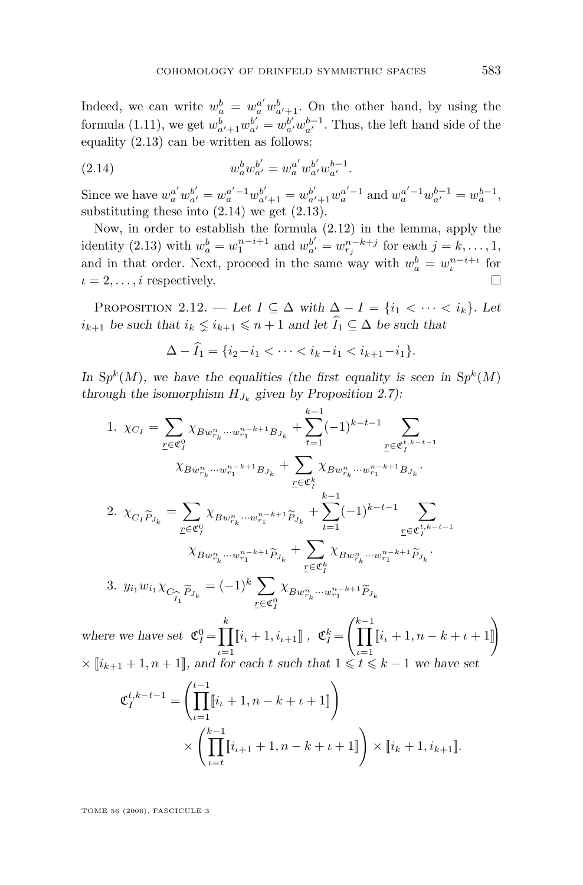<span id="page-23-0"></span>Indeed, we can write  $w_a^b = w_a^{a'} w_{a'+1}^b$ . On the other hand, by using the formula [\(1.11\)](#page-10-0), we get  $w_{a'+1}^b w_{a'}^{b'} = w_{a'}^{b'} w_{a'}^{b-1}$ . Thus, the left hand side of the equality [\(2.13\)](#page-22-0) can be written as follows:

(2.14) 
$$
w_a^b w_{a'}^{b'} = w_a^{a'} w_{a'}^{b'} w_{a'}^{b-1}.
$$

Since we have  $w_a^{a'} w_{a'}^{b'} = w_a^{a'-1} w_{a'+1}^{b'} = w_{a'+1}^{b'} w_a^{a'-1}$  and  $w_a^{a'-1} w_{a'}^{b-1} = w_a^{b-1}$ , substituting these into  $(2.14)$  we get  $(2.13)$ .

Now, in order to establish the formula [\(2.12\)](#page-22-0) in the lemma, apply the identity [\(2.13\)](#page-22-0) with  $w_a^b = w_1^{n-i+1}$  and  $w_{a'}^{b'} = w_{r_j}^{n-k+j}$  for each  $j = k, ..., 1$ , and in that order. Next, proceed in the same way with  $w_a^b = w_i^{n-i+\iota}$  for  $i = 2, \ldots, i$  respectively.

PROPOSITION 2.12. — Let  $I \subseteq \Delta$  with  $\Delta - I = \{i_1 < \cdots < i_k\}$ . Let  $i_{k+1}$  be such that  $i_k \leq i_{k+1} \leq n+1$  and let  $\widehat{I}_1 \subseteq \Delta$  be such that

$$
\Delta - \widehat{I}_1 = \{ i_2 - i_1 < \dots < i_k - i_1 < i_{k+1} - i_1 \}.
$$

In  $\mathrm{Sp}^k(M)$ , we have the equalities (the first equality is seen in  $\mathrm{Sp}^k(M)$ ) *through the isomorphism*  $H_{J_k}$  given by Proposition [2.7\)](#page-19-0):

1. 
$$
\chi_{C_I} = \sum_{\underline{r} \in \mathfrak{C}_I^0} \chi_{Bw_{r_k}^n \cdots w_{r_1}^{n-k+1} B_{J_k}} + \sum_{t=1}^{k-1} (-1)^{k-t-1} \sum_{\underline{r} \in \mathfrak{C}_I^{t,k-t-1}} \chi_{Bw_{r_k}^n \cdots w_{r_1}^{n-k+1} B_{J_k}} + \sum_{\underline{r} \in \mathfrak{C}_I^k} \chi_{Bw_{r_k}^n \cdots w_{r_1}^{n-k+1} B_{J_k}}.
$$
  
\n2. 
$$
\chi_{C_I \widetilde{P}_{J_k}} = \sum_{\underline{r} \in \mathfrak{C}_I^0} \chi_{Bw_{r_k}^n \cdots w_{r_1}^{n-k+1} \widetilde{P}_{J_k}} + \sum_{t=1}^{k-1} (-1)^{k-t-1} \sum_{\underline{r} \in \mathfrak{C}_I^{t,k-t-1}} \chi_{Bw_{r_k}^n \cdots w_{r_1}^{n-k+1} \widetilde{P}_{J_k}}.
$$
  
\n3. 
$$
y_{i_1} w_{i_1} \chi_{C_{\widehat{P}_{I_k}} \widetilde{P}_{J_k}} = (-1)^k \sum_{\underline{r} \in \mathfrak{C}_I^0} \chi_{Bw_{r_k}^n \cdots w_{r_1}^{n-k+1} \widetilde{P}_{J_k}}.
$$

where we have set  $\mathfrak{C}_I^0 = \prod^k$  $\iota = 1$  $[i_{\iota} + 1, i_{\iota+1}]$ ,  $\mathfrak{C}_I^k =$  $\int_{0}^{k-1}$  $\iota = 1$  $[i_{\iota} + 1, n - k + \iota + 1]$  $\times$  [ $[i_{k+1} + 1, n+1]$ ]*, and for each t such that*  $1 \le t \le k-1$  *we have set* 

$$
\mathfrak{C}_{I}^{t,k-t-1} = \left( \prod_{\iota=1}^{t-1} \llbracket i_{\iota} + 1, n - k + \iota + 1 \rrbracket \right) \times \left( \prod_{\iota=t}^{k-1} \llbracket i_{\iota+1} + 1, n - k + \iota + 1 \rrbracket \right) \times \llbracket i_k + 1, i_{k+1} \rrbracket.
$$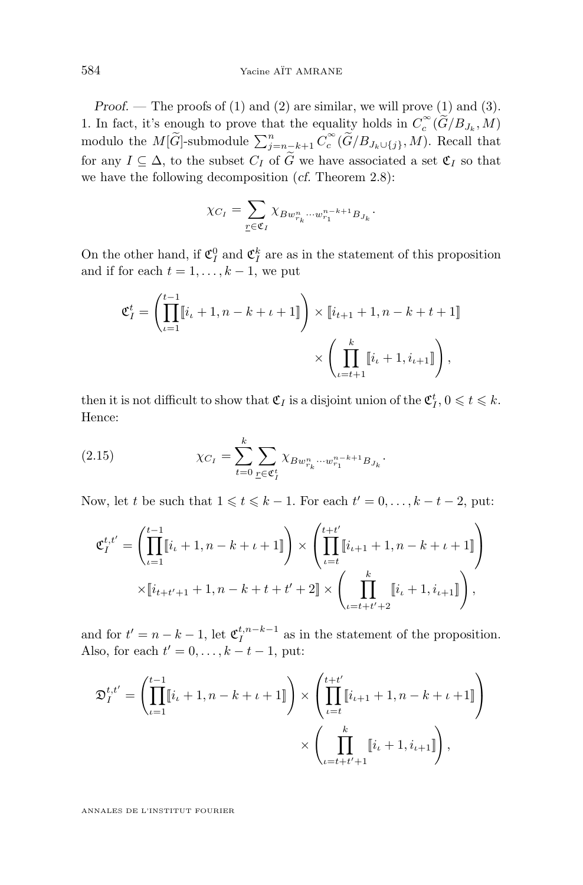<span id="page-24-0"></span>*Proof.* — The proofs of (1) and (2) are similar, we will prove (1) and (3). 1. In fact, it's enough to prove that the equality holds in  $C_c^{\infty}(\widetilde{G}/B_{J_k}, M)$ modulo the  $M[\widetilde{G}]$ -submodule  $\sum_{j=n_{\widetilde{c}} k+1}^{n} C_c^{\infty}(\widetilde{G}/B_{J_k\cup\{j\}}, M)$ . Recall that for any  $I \subseteq \Delta$ , to the subset  $C_I$  of  $\widetilde{G}$  we have associated a set  $\mathfrak{C}_I$  so that we have the following decomposition (*cf.* Theorem [2.8\)](#page-20-0):

$$
\chi_{C_I} = \sum_{\underline{r} \in \mathfrak{C}_I} \chi_{B w_{r_k}^n \cdots w_{r_1}^{n-k+1} B_{J_k}}.
$$

On the other hand, if  $\mathfrak{C}_I^0$  and  $\mathfrak{C}_I^k$  are as in the statement of this proposition and if for each  $t = 1, \ldots, k - 1$ , we put

$$
\mathfrak{C}_I^t = \left( \prod_{\iota=1}^{t-1} [i_{\iota} + 1, n - k + \iota + 1] \right) \times [i_{t+1} + 1, n - k + t + 1] \times \left( \prod_{\iota=t+1}^k [i_{\iota} + 1, i_{\iota+1}]\right),
$$

then it is not difficult to show that  $\mathfrak{C}_I$  is a disjoint union of the  $\mathfrak{C}_I^t$ ,  $0 \leq t \leq k$ . Hence:

(2.15) 
$$
\chi_{C_I} = \sum_{t=0}^k \sum_{\underline{r} \in \mathfrak{C}_I^t} \chi_{Bw_{r_k}^n \cdots w_{r_1}^{n-k+1} B_{J_k}}.
$$

Now, let t be such that  $1 \leq t \leq k - 1$ . For each  $t' = 0, \ldots, k - t - 2$ , put:

$$
\mathfrak{C}_{I}^{t,t'} = \left( \prod_{\iota=1}^{t-1} [i_{\iota} + 1, n - k + \iota + 1] \right) \times \left( \prod_{\iota=t}^{t+t'} [i_{\iota+1} + 1, n - k + \iota + 1] \right)
$$

$$
\times [i_{t+t'+1} + 1, n - k + t + t' + 2] \times \left( \prod_{\iota=t+t'+2}^{k} [i_{\iota} + 1, i_{\iota+1}] \right),
$$

and for  $t' = n - k - 1$ , let  $\mathfrak{C}_I^{t,n-k-1}$  as in the statement of the proposition. Also, for each  $t' = 0, \ldots, k - t - 1$ , put:

$$
\mathfrak{D}_{I}^{t,t'} = \left( \prod_{\iota=1}^{t-1} [i_{\iota} + 1, n - k + \iota + 1]] \right) \times \left( \prod_{\iota=t}^{t+t'} [i_{\iota+1} + 1, n - k + \iota + 1]] \right) \times \left( \prod_{\iota=t+t'+1}^{k} [i_{\iota} + 1, i_{\iota+1}]] \right),
$$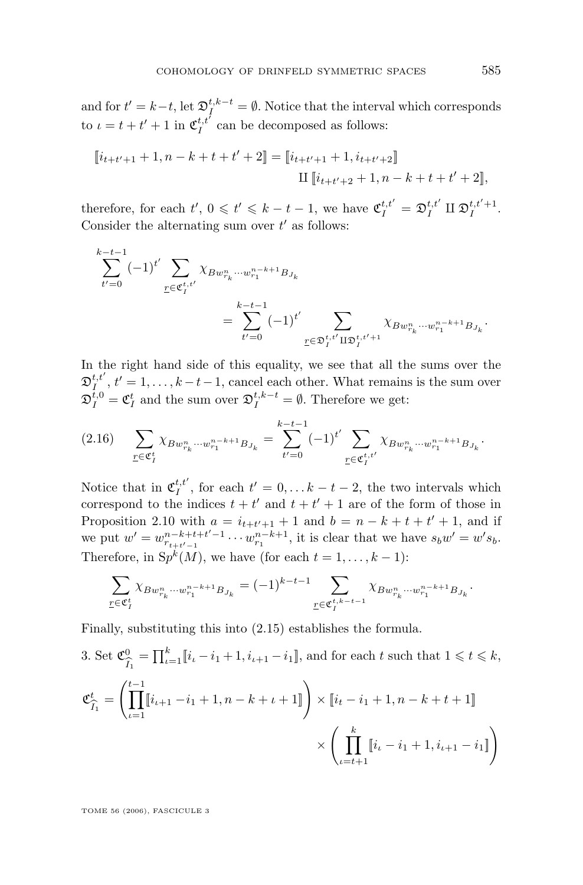<span id="page-25-0"></span>and for  $t' = k-t$ , let  $\mathfrak{D}_I^{t,k-t} = \emptyset$ . Notice that the interval which corresponds to  $\iota = t + t' + 1$  in  $\mathfrak{C}_I^{t,t'}$  can be decomposed as follows:

$$
\[\![i_{t+t'+1}+1,n-k+t+t'+2]\!] = \[\![i_{t+t'+1}+1,i_{t+t'+2}]\!]
$$

$$
\text{II}\,[\![i_{t+t'+2}+1,n-k+t+t'+2]\!],
$$

therefore, for each  $t', 0 \leq t' \leq k-t-1$ , we have  $\mathfrak{C}_I^{t,t'} = \mathfrak{D}_I^{t,t'} \amalg \mathfrak{D}_I^{t,t'+1}$ . Consider the alternating sum over  $t'$  as follows:

$$
\sum_{t'=0}^{k-t-1} (-1)^{t'} \sum_{\underline{r} \in \mathfrak{C}_{I}^{t,t'}} \chi_{Bw_{r_k}^n \cdots w_{r_1}^{n-k+1} B_{J_k}} \n= \sum_{t'=0}^{k-t-1} (-1)^{t'} \sum_{\underline{r} \in \mathfrak{D}_{I}^{t,t'} \amalg \mathfrak{D}_{I}^{t,t'+1}} \chi_{Bw_{r_k}^n \cdots w_{r_1}^{n-k+1} B_{J_k}}.
$$

In the right hand side of this equality, we see that all the sums over the  $\mathfrak{D}_{I}^{t,t'}$ ,  $t'=1,\ldots,k-t-1$ , cancel each other. What remains is the sum over  $\mathfrak{D}_I^{t,0} = \mathfrak{C}_I^t$  and the sum over  $\mathfrak{D}_I^{t,k-t} = \emptyset$ . Therefore we get:

$$
(2.16) \qquad \sum_{\underline{r}\in\mathfrak{C}_I^t} \chi_{Bw_{r_k}^n\cdots w_{r_1}^{n-k+1}B_{J_k}} = \sum_{t'=0}^{k-t-1} (-1)^{t'} \sum_{\underline{r}\in\mathfrak{C}_I^{t,t'}} \chi_{Bw_{r_k}^n\cdots w_{r_1}^{n-k+1}B_{J_k}}.
$$

Notice that in  $\mathfrak{C}_I^{t,t'}$ , for each  $t'=0,\ldots k-t-2$ , the two intervals which correspond to the indices  $t + t'$  and  $t + t' + 1$  are of the form of those in Proposition [2.10](#page-21-0) with  $a = i_{t+t'+1} + 1$  and  $b = n - k + t + t' + 1$ , and if we put  $w' = w_{r_{t+t'-1}}^{n-k+t+t'-1} \cdots w_{r_1}^{n-k+1}$ , it is clear that we have  $s_b w' = w' s_b$ . Therefore, in  $\mathcal{S}p^{k}(M)$ , we have (for each  $t = 1, \ldots, k - 1$ ):

$$
\sum_{\underline{r}\in \mathfrak{C}_I^t} \chi_{Bw_{r_k}^n\cdots w_{r_1}^{n-k+1}B_{J_k}}=(-1)^{k-t-1}\sum_{\underline{r}\in \mathfrak{C}_I^{t,k-t-1}} \chi_{Bw_{r_k}^n\cdots w_{r_1}^{n-k+1}B_{J_k}}.
$$

Finally, substituting this into [\(2.15\)](#page-24-0) establishes the formula.

3. Set 
$$
\mathfrak{C}_{\widehat{I}_1}^0 = \prod_{\iota=1}^k [i_{\iota} - i_1 + 1, i_{\iota+1} - i_1],
$$
 and for each  $t$  such that  $1 \le t \le k$ ,  
\n
$$
\mathfrak{C}_{\widehat{I}_1}^t = \left( \prod_{\iota=1}^{t-1} [i_{\iota+1} - i_1 + 1, n - k + \iota + 1]] \right) \times [i_t - i_1 + 1, n - k + t + 1]] \times \left( \prod_{\iota=t+1}^k [i_{\iota} - i_1 + 1, i_{\iota+1} - i_1]] \right)
$$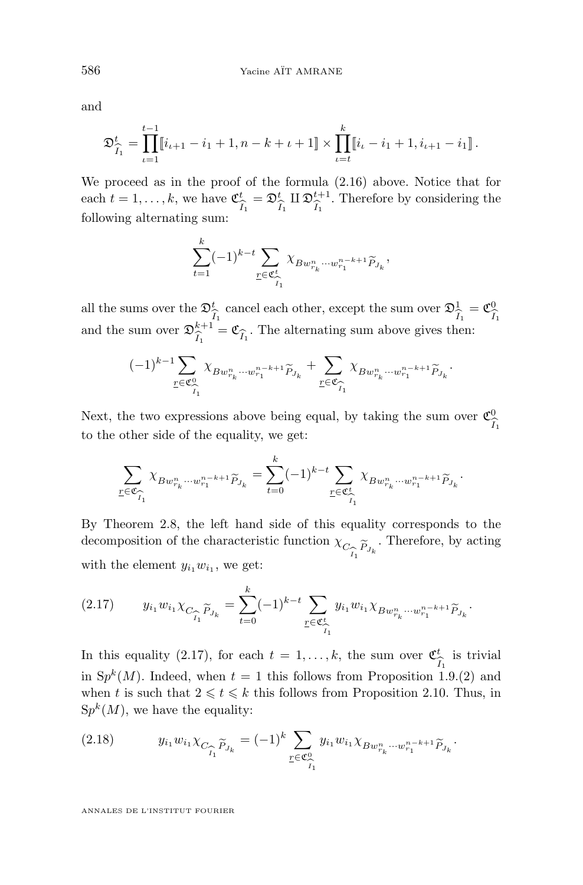and

$$
\mathfrak{D}_{\widehat{I}_1}^t = \prod_{\iota=1}^{t-1} [i_{\iota+1} - i_1 + 1, n - k + \iota + 1] \times \prod_{\iota=t}^k [i_{\iota} - i_1 + 1, i_{\iota+1} - i_1].
$$

We proceed as in the proof of the formula [\(2.16\)](#page-25-0) above. Notice that for each  $t = 1, \ldots, k$ , we have  $\mathfrak{C}_i^t$  $I_1$  $=\mathfrak{D}_{\gamma}^{t}$  $I_1$  $\amalg$  D $^{t+1}_{\widehat{\tau}}$  $I_1$ . Therefore by considering the following alternating sum:

$$
\sum_{t=1}^k (-1)^{k-t} \sum_{\underline{r} \in \mathfrak{C}_{\widehat{I}_1}^t} \chi_{Bw_{r_k}^n \cdots w_{r_1}^{n-k+1} \widetilde{P}_{J_k}},
$$

all the sums over the  $\mathfrak{D}_3^t$  $\frac{I_1}{I_1}$ cancel each other, except the sum over  $\mathfrak{D}^1_{\widehat{\mathcal{J}}}$  $I_1$ וסו  $=\mathfrak{C}^0_{\widehat{\tau}}$ and the sum over  $\mathfrak{D}_{\widehat{\zeta}}^{k+1} = \mathfrak{C}_{\widehat{\zeta}}$ . The alternating sum above gives then:  $\hat{I}_1^{\kappa+1} = \mathfrak{C}_{\hat{I}_1}$ . The alternating sum above gives then:

$$
(-1)^{k-1}\sum_{\underline{r}\in\mathfrak{C}_{\widehat{I}_1}^0}\chi_{Bw_{r_k}^n\cdots w_{r_1}^{n-k+1}\widetilde{P}_{J_k}}+\sum_{\underline{r}\in\mathfrak{C}_{\widehat{I}_1}^{\bullet}}\chi_{Bw_{r_k}^n\cdots w_{r_1}^{n-k+1}\widetilde{P}_{J_k}}.
$$

Next, the two expressions above being equal, by taking the sum over  $\mathfrak{C}^0_{\widehat{\tau}}$  $I_1$ to the other side of the equality, we get:

$$
\sum_{\underline{r}\in\mathfrak{C}_{\widehat{I}_1}} \chi_{Bw_{r_k}^n\cdots w_{r_1}^{n-k+1}\widetilde{P}_{J_k}} = \sum_{t=0}^k (-1)^{k-t} \sum_{\underline{r}\in\mathfrak{C}_{\widehat{I}_1}^t} \chi_{Bw_{r_k}^n\cdots w_{r_1}^{n-k+1}\widetilde{P}_{J_k}}.
$$

By Theorem [2.8,](#page-20-0) the left hand side of this equality corresponds to the decomposition of the characteristic function  $\chi_C^{}$  $\sum_{i=1}^{n} \widetilde{P}_{J_k}$ . Therefore, by acting with the element  $y_{i_1}w_{i_1}$ , we get:

$$
(2.17) \t y_{i_1} w_{i_1} \chi_{C_{\widehat{I}_1} \widetilde{P}_{J_k}} = \sum_{t=0}^k (-1)^{k-t} \sum_{\underline{r} \in \mathfrak{C}_{\widehat{I}_1}^t} y_{i_1} w_{i_1} \chi_{B w_{r_k}^n \cdots w_{r_1}^{n-k+1} \widetilde{P}_{J_k}}.
$$

In this equality (2.17), for each  $t = 1, \ldots, k$ , the sum over  $\mathfrak{C}^t_{\widehat{\gamma}}$  is trivial in  $Sp^{k}(M)$ . Indeed, when  $t = 1$  this follows from Proposition [1.9.](#page-10-0)(2) and when t is such that  $2 \leq t \leq k$  this follows from Proposition [2.10.](#page-21-0) Thus, in  $Sp<sup>k</sup>(M)$ , we have the equality:

(2.18) 
$$
y_{i_1}w_{i_1}\chi_{C_{\widehat{I}_1}\widetilde{P}_{J_k}}=(-1)^k\sum_{\underline{r}\in\mathfrak{C}_{\widehat{I}_1}^0}y_{i_1}w_{i_1}\chi_{Bw_{r_k}^n\cdots w_{r_1}^{n-k+1}\widetilde{P}_{J_k}}.
$$

<span id="page-26-0"></span>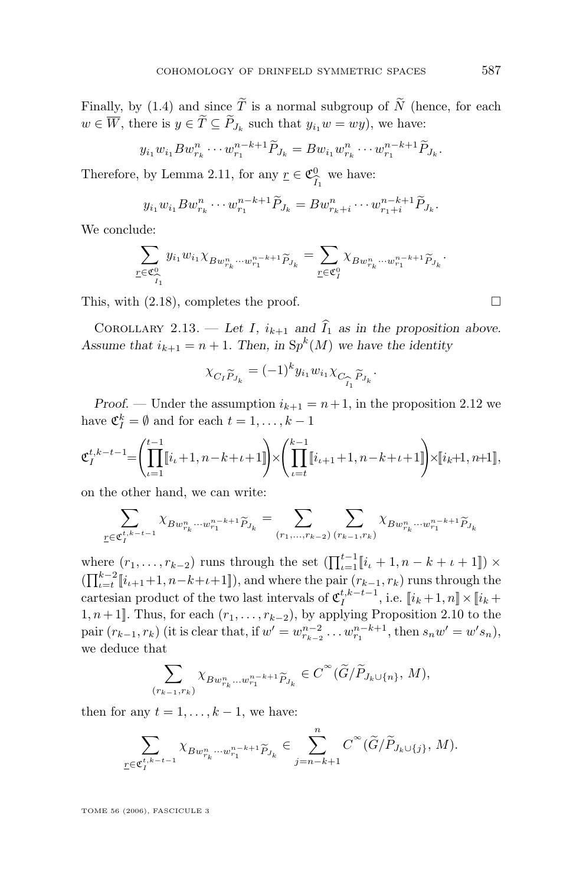<span id="page-27-0"></span>Finally, by [\(1.4\)](#page-7-0) and since  $\widetilde{T}$  is a normal subgroup of  $\widetilde{N}$  (hence, for each  $w \in W$ , there is  $y \in T \subseteq P_{J_k}$  such that  $y_{i_1}w = wy$ , we have:

$$
y_{i_1}w_{i_1}Bw_{r_k}^n\cdots w_{r_1}^{n-k+1}\widetilde{P}_{J_k}=Bw_{i_1}w_{r_k}^n\cdots w_{r_1}^{n-k+1}\widetilde{P}_{J_k}.
$$

Therefore, by Lemma [2.11,](#page-22-0) for any  $\underline{r} \in \mathfrak{C}^0_{\widehat{\tau}}$  $\frac{0}{I_1}$  we have:

$$
y_{i_1}w_{i_1}Bw_{r_k}^n\cdots w_{r_1}^{n-k+1}\widetilde{P}_{J_k}=Bw_{r_k+i}^n\cdots w_{r_1+i}^{n-k+1}\widetilde{P}_{J_k}.
$$

We conclude:

$$
\sum_{\substack{r \in \mathfrak{C}_{\widehat{I}_1}^0}} y_{i_1} w_{i_1} \chi_{B w_{r_k}^n \cdots w_{r_1}^{n-k+1} \widetilde{P}_{J_k}} = \sum_{\substack{r \in \mathfrak{C}_{I}^0}} \chi_{B w_{r_k}^n \cdots w_{r_1}^{n-k+1} \widetilde{P}_{J_k}}.
$$

This, with  $(2.18)$ , completes the proof.

COROLLARY 2.13. — Let I,  $i_{k+1}$  and  $\hat{I}_1$  as in the proposition above. Assume that  $i_{k+1} = n + 1$ . Then, in  $\text{Sp}^k(M)$  we have the identity

$$
\chi_{C_I \widetilde{P}_{J_k}} = (-1)^k y_{i_1} w_{i_1} \chi_{C_{\widehat{I}_1} \widetilde{P}_{J_k}}.
$$

*Proof.* — Under the assumption  $i_{k+1} = n+1$ , in the proposition [2.12](#page-23-0) we have  $\mathfrak{C}_I^k = \emptyset$  and for each  $t = 1, \ldots, k - 1$ 

$$
\mathfrak{C}_I^{t,k-t-1} = \left( \prod_{\iota=1}^{t-1} [i_{\iota}+1, n-k+\iota+1] \right) \times \left( \prod_{\iota=t}^{k-1} [i_{\iota+1}+1, n-k+\iota+1] \right) \times [i_k+1, n+1],
$$

on the other hand, we can write:

$$
\sum_{\underline{r} \in \mathfrak{C}_{I}^{t,k-t-1}} \chi_{B w_{r_k}^n \cdots w_{r_1}^{n-k+1} \widetilde{P}_{J_k}} = \sum_{(r_1, \ldots, r_{k-2})} \sum_{(r_{k-1}, r_k)} \chi_{B w_{r_k}^n \cdots w_{r_1}^{n-k+1} \widetilde{P}_{J_k}}
$$

where  $(r_1, \ldots, r_{k-2})$  runs through the set  $(\prod_{\iota=1}^{t-1} [i_{\iota} + 1, n-k+\iota+1]) \times$  $(\prod_{\iota=t}^{k-2} [i_{\iota+1}+1, n-k+\iota+1])$ , and where the pair  $(r_{k-1}, r_k)$  runs through the cartesian product of the two last intervals of  $\mathfrak{C}_I^{t,k-t-1}$ , i.e.  $\llbracket i_k+1,n \rrbracket \times \llbracket i_k+1,n \rrbracket$ 1,  $n+1$ ]. Thus, for each  $(r_1, \ldots, r_{k-2})$ , by applying Proposition [2.10](#page-21-0) to the pair  $(r_{k-1}, r_k)$  (it is clear that, if  $w' = w_{r_{k-2}}^{n-2} \dots w_{r_1}^{n-k+1}$ , then  $s_n w' = w' s_n$ ), we deduce that

$$
\sum_{(r_{k-1},r_k)} \chi_{Bw_{r_k}^n \dots w_{r_1}^{n-k+1} \widetilde{P}_{J_k}} \in C^{\infty}(\widetilde{G}/\widetilde{P}_{J_k \cup \{n\}}, M),
$$

then for any  $t = 1, \ldots, k - 1$ , we have:

$$
\sum_{\underline{r}\in\mathfrak{C}_{I}^{t,k-t-1}}\chi_{Bw_{r_k}^n\cdots w_{r_1}^{n-k+1}\widetilde{P}_{J_k}}\in \sum_{j=n-k+1}^{n}C^{\infty}(\widetilde{G}/\widetilde{P}_{J_k\cup\{j\}},M).
$$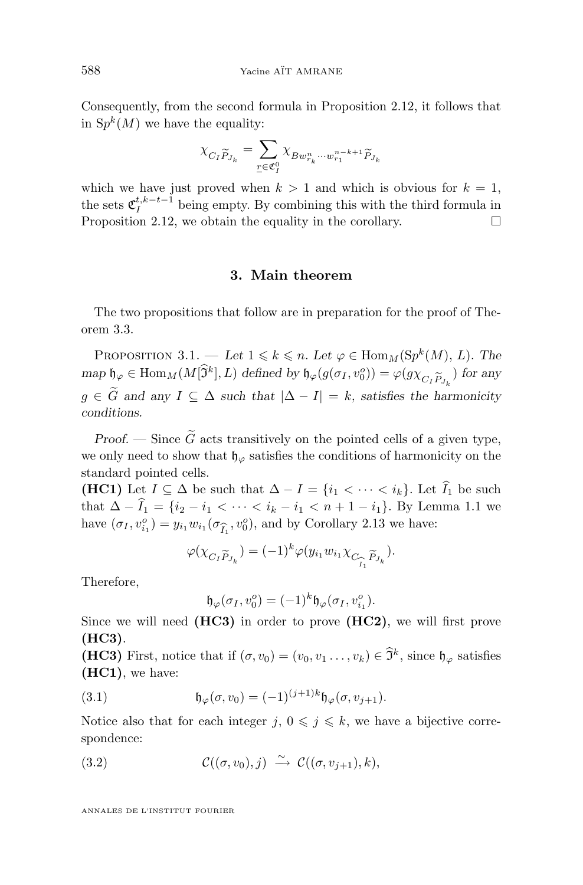<span id="page-28-0"></span>Consequently, from the second formula in Proposition [2.12,](#page-23-0) it follows that in  $Sp^k(M)$  we have the equality:

$$
\chi_{C_I \widetilde{P}_{J_k}} = \sum_{\underline{r} \in \mathfrak{C}_I^0} \chi_{B w_{r_k}^n \cdots w_{r_1}^{n-k+1} \widetilde{P}_{J_k}}
$$

which we have just proved when  $k > 1$  and which is obvious for  $k = 1$ , the sets  $\mathfrak{C}_I^{t,k-t-1}$  being empty. By combining this with the third formula in Proposition [2.12,](#page-23-0) we obtain the equality in the corollary.  $\Box$ 

#### **3. Main theorem**

The two propositions that follow are in preparation for the proof of Theorem [3.3.](#page-35-0)

PROPOSITION 3.1. — Let  $1 \leq k \leq n$ . Let  $\varphi \in \text{Hom}_M(\text{Sp}^k(M), L)$ . The  $\mathfrak{m}$ ap  $\mathfrak{h}_{\varphi} \in \text{Hom}_M(M[\mathfrak{I}^k], L)$  defined by  $\mathfrak{h}_{\varphi}(g(\sigma_I, v_0^o)) = \varphi(g\chi_{C_I\widetilde{P}_{J_k}})$  for any  $g \in \tilde{G}$  and any  $I \subseteq \Delta$  such that  $|\Delta - I| = k$ , satisfies the harmonicity *conditions.*

*Proof.* — Since  $\tilde{G}$  acts transitively on the pointed cells of a given type, we only need to show that  $\mathfrak{h}_{\varphi}$  satisfies the conditions of harmonicity on the standard pointed cells.

**(HC1)** Let  $I \subseteq \Delta$  be such that  $\Delta - I = \{i_1 < \cdots < i_k\}$ . Let  $\widehat{I}_1$  be such that  $\Delta - \hat{I}_1 = \{i_2 - i_1 < \cdots < i_k - i_1 < n + 1 - i_1\}$ . By Lemma [1.1](#page-6-0) we have  $(\sigma_I, v_{i_1}^o) = y_{i_1} w_{i_1} (\sigma_{\widehat{I}_1}, v_0^o)$ , and by Corollary [2.13](#page-27-0) we have:

$$
\varphi(\chi_{C_I \widetilde{P}_{J_k}}) = (-1)^k \varphi(y_{i_1} w_{i_1} \chi_{C_{\widehat{I}_1} \widetilde{P}_{J_k}}).
$$

Therefore,

$$
\mathfrak{h}_{\varphi}(\sigma_I, v_0^o) = (-1)^k \mathfrak{h}_{\varphi}(\sigma_I, v_{i_1}^o).
$$

Since we will need **(HC3)** in order to prove **(HC2)**, we will first prove **(HC3)**.

**(HC3)** First, notice that if  $(\sigma, v_0) = (v_0, v_1, \dots, v_k) \in \mathfrak{I}^k$ , since  $\mathfrak{h}_{\varphi}$  satisfies **(HC1)**, we have:

(3.1) 
$$
\mathfrak{h}_{\varphi}(\sigma, v_0) = (-1)^{(j+1)k} \mathfrak{h}_{\varphi}(\sigma, v_{j+1}).
$$

Notice also that for each integer  $j, 0 \leq j \leq k$ , we have a bijective correspondence:

(3.2) 
$$
\mathcal{C}((\sigma, v_0), j) \stackrel{\sim}{\rightarrow} \mathcal{C}((\sigma, v_{j+1}), k),
$$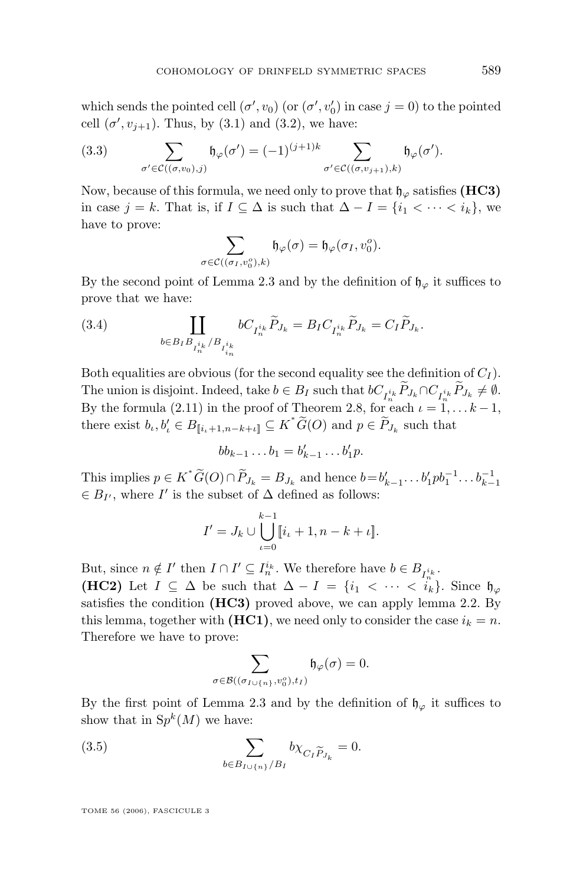<span id="page-29-0"></span>which sends the pointed cell  $(\sigma', v_0)$  (or  $(\sigma', v'_0)$ ) in case  $j = 0$ ) to the pointed cell  $(\sigma', v_{j+1})$ . Thus, by  $(3.1)$  and  $(3.2)$ , we have:

(3.3) 
$$
\sum_{\sigma' \in \mathcal{C}((\sigma,v_0),j)} \mathfrak{h}_{\varphi}(\sigma') = (-1)^{(j+1)k} \sum_{\sigma' \in \mathcal{C}((\sigma,v_{j+1}),k)} \mathfrak{h}_{\varphi}(\sigma').
$$

Now, because of this formula, we need only to prove that  $\mathfrak{h}_{\varphi}$  satisfies (HC3) in case  $j = k$ . That is, if  $I \subseteq \Delta$  is such that  $\Delta - I = \{i_1 < \cdots < i_k\}$ , we have to prove:

$$
\sum_{\sigma \in \mathcal{C}((\sigma_I, v_0^o), k)} \mathfrak{h}_{\varphi}(\sigma) = \mathfrak{h}_{\varphi}(\sigma_I, v_0^o).
$$

By the second point of Lemma [2.3](#page-16-0) and by the definition of  $\mathfrak{h}_{\varphi}$  it suffices to prove that we have:

(3.4) 
$$
\coprod_{b \in B_I B_{I_n^{i_k}}/B_{I_n^{i_k}}} bC_{I_n^{i_k}} \tilde{P}_{J_k} = B_I C_{I_n^{i_k}} \tilde{P}_{J_k} = C_I \tilde{P}_{J_k}.
$$

Both equalities are obvious (for the second equality see the definition of  $C_I$ ). The union is disjoint. Indeed, take  $b \in B_I$  such that  $bC_{I_n^{i_k}}P_{J_k} \cap C_{I_n^{i_k}}P_{J_k} \neq \emptyset$ . By the formula [\(2.11\)](#page-20-0) in the proof of Theorem [2.8,](#page-20-0) for each  $\iota = 1, \ldots k-1$ , there exist  $b_t, b'_t \in B_{[[i_t+1,n-k+t]]} \subseteq K^* \widetilde{G}(O)$  and  $p \in \widetilde{P}_{J_k}$  such that

$$
bb_{k-1}\dots b_1=b'_{k-1}\dots b'_1p.
$$

This implies  $p \in K^* \widetilde{G}(O) \cap \widetilde{P}_{J_k} = B_{J_k}$  and hence  $b = b'_{k-1} \dots b'_1 p b_1^{-1} \dots b_{k-1}^{-1}$  $\in B_{I'}$ , where  $I'$  is the subset of  $\Delta$  defined as follows:

$$
I' = J_k \cup \bigcup_{\iota=0}^{k-1} [i_{\iota} + 1, n - k + \iota].
$$

But, since  $n \notin I'$  then  $I \cap I' \subseteq I_n^{i_k}$ . We therefore have  $b \in B_{I_n^{i_k}}$ . **(HC2)** Let  $I \subseteq \Delta$  be such that  $\Delta - I = \{i_1 < \cdots < i_k\}$ . Since  $\mathfrak{h}_{\varphi}$ satisfies the condition **(HC3)** proved above, we can apply lemma [2.2.](#page-15-0) By this lemma, together with  $(HC1)$ , we need only to consider the case  $i_k = n$ .

Therefore we have to prove:

$$
\sum_{\sigma \in \mathcal{B}((\sigma_{I \cup \{n\}}, v^o_0), t_I)} \mathfrak{h}_{\varphi}(\sigma) = 0.
$$

By the first point of Lemma [2.3](#page-16-0) and by the definition of  $\mathfrak{h}_{\varphi}$  it suffices to show that in  $Sp^k(M)$  we have:

(3.5) 
$$
\sum_{b \in B_{I \cup \{n\}}/B_I} b \chi_{C_I \widetilde{P}_{J_k}} = 0.
$$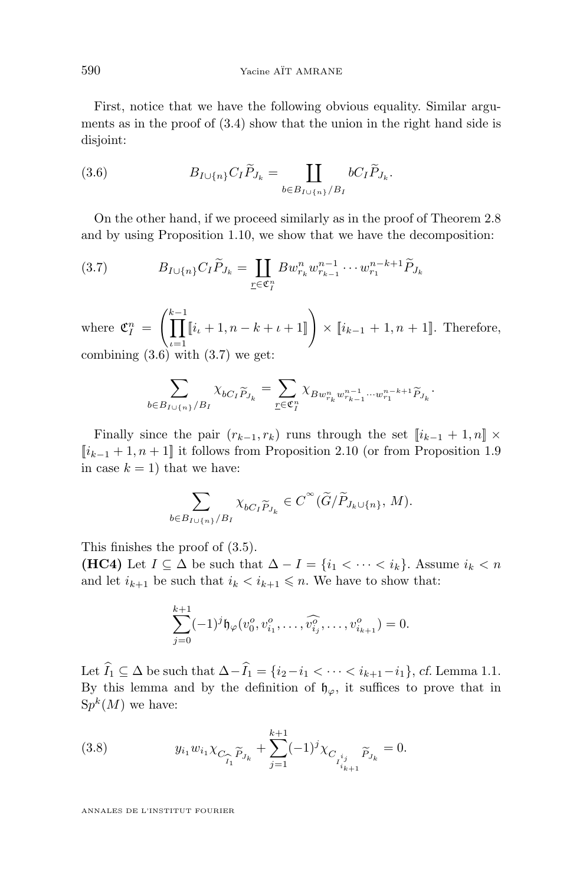<span id="page-30-0"></span>First, notice that we have the following obvious equality. Similar arguments as in the proof of [\(3.4\)](#page-29-0) show that the union in the right hand side is disjoint:

(3.6) 
$$
B_{I\cup\{n\}}C_{I}\widetilde{P}_{J_{k}} = \coprod_{b\in B_{I\cup\{n\}}/B_{I}} bC_{I}\widetilde{P}_{J_{k}}.
$$

On the other hand, if we proceed similarly as in the proof of Theorem [2.8](#page-20-0) and by using Proposition [1.10,](#page-12-0) we show that we have the decomposition:

(3.7) 
$$
B_{I \cup \{n\}} C_I \widetilde{P}_{J_k} = \coprod_{\underline{r} \in \mathfrak{C}_I^n} B w_{r_k}^n w_{r_{k-1}}^{n-1} \cdots w_{r_1}^{n-k+1} \widetilde{P}_{J_k}
$$

where  $\mathfrak{C}_I^n =$  $\int_{0}^{k-1}$  $\iota = 1$  $[i_{\iota} + 1, n - k + \iota + 1]$   $\times$   $[i_{k-1} + 1, n + 1]$ . Therefore, combining  $(3.6)$  with  $(3.7)$  we get:

$$
\sum_{b\in B_{I\cup\{n\}}/B_I}\chi_{bC_I\widetilde{P}_{J_k}}=\sum_{\underline{r}\in\mathfrak{C}_I^n}\chi_{Bw_{r_k}^nw_{r_{k-1}}^{n-1}\cdots w_{r_1}^{n-k+1}\widetilde{P}_{J_k}}.
$$

Finally since the pair  $(r_{k-1}, r_k)$  runs through the set  $\llbracket i_{k-1} + 1, n \rrbracket \times$  $[i_{k-1}+1, n+1]$  it follows from Proposition [2.10](#page-21-0) (or from Proposition [1.9](#page-10-0) in case  $k = 1$ ) that we have:

$$
\sum_{b \in B_{I \cup \{n\}}/B_I} \chi_{bC_I \widetilde{P}_{J_k}} \in C^{\infty}(\widetilde{G}/\widetilde{P}_{J_k \cup \{n\}}, M).
$$

This finishes the proof of [\(3.5\)](#page-29-0).

**(HC4)** Let  $I \subseteq \Delta$  be such that  $\Delta - I = \{i_1 < \cdots < i_k\}$ . Assume  $i_k < n$ and let  $i_{k+1}$  be such that  $i_k < i_{k+1} \leq n$ . We have to show that:

$$
\sum_{j=0}^{k+1}(-1)^{j}\mathfrak{h}_{\varphi}(v_0^o, v_{i_1}^o, \dots, \widehat{v_{i_j}^o}, \dots, v_{i_{k+1}}^o) = 0.
$$

Let  $\widehat{I}_1 \subseteq \Delta$  be such that  $\Delta - \widehat{I}_1 = \{i_2 - i_1 < \cdots < i_{k+1} - i_1\}$ , *cf.* Lemma [1.1.](#page-6-0) By this lemma and by the definition of  $\mathfrak{h}_{\varphi}$ , it suffices to prove that in  $Sp<sup>k</sup>(M)$  we have:

(3.8) 
$$
y_{i_1} w_{i_1} \chi_{C_{\widehat{I}_1} \widetilde{P}_{J_k}} + \sum_{j=1}^{k+1} (-1)^j \chi_{C_{I_{i_{k+1}}^{i_j}}} \widetilde{P}_{J_k} = 0.
$$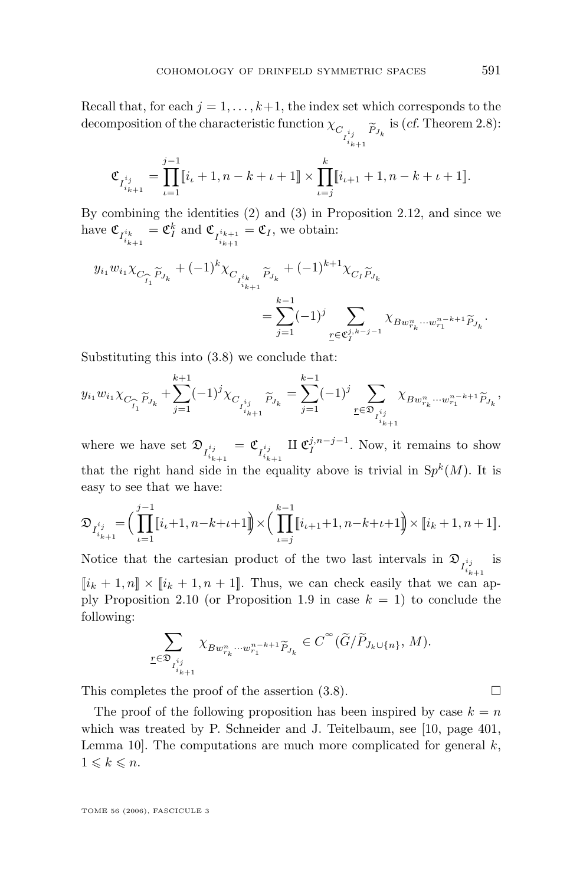<span id="page-31-0"></span>Recall that, for each  $j = 1, \ldots, k+1$ , the index set which corresponds to the decomposition of the characteristic function  $\chi_{C_{I_{i_{k+1}}^{i_j}}}$   $\widetilde{P}_{J_k}$  is (*cf.* Theorem [2.8\)](#page-20-0):

$$
\mathfrak{C}_{I_{i_{k+1}}^{i_j}} = \prod_{\iota=1}^{j-1} [i_{\iota} + 1, n - k + \iota + 1] \times \prod_{\iota=j}^{k} [i_{\iota+1} + 1, n - k + \iota + 1].
$$

By combining the identities (2) and (3) in Proposition [2.12,](#page-23-0) and since we have  $\mathfrak{C}_{I_{i_{k+1}}^{i_k}} = \mathfrak{C}_I^k$  and  $\mathfrak{C}_{I_{i_{k+1}}^{i_{k+1}}} = \mathfrak{C}_I$ , we obtain:

$$
\begin{aligned} y_{i_1}w_{i_1}\chi_{C_{\widehat{I_1}}\widetilde{P}_{J_k}}+(-1)^k\chi_{C_{I_{i_{k+1}}^{i_k}}\widetilde{P}_{J_k}}+(-1)^{k+1}\chi_{C_{I}\widetilde{P}_{J_k}}\\ &=\sum_{j=1}^{k-1}(-1)^j\sum_{\underline{r}\in\mathfrak{C}_I^{j,k-j-1}}\chi_{Bw_{r_k}^n\cdots w_{r_1}^{n-k+1}\widetilde{P}_{J_k}}. \end{aligned}
$$

Substituting this into [\(3.8\)](#page-30-0) we conclude that:

$$
y_{i_1}w_{i_1}\chi_{C_{\widehat{I_1}}\widetilde{P}_{J_k}} + \sum_{j=1}^{k+1}(-1)^j\chi_{C_{I_{i_{k+1}}^{i_j}}\widetilde{P}_{J_k}} = \sum_{j=1}^{k-1}(-1)^j\sum_{\underline{r}\in\mathfrak{D}_{I_{i_{k+1}}^{i_j}}} \chi_{Bw_{r_k}^n\cdots w_{r_1}^{n-k+1}\widetilde{P}_{J_k}},
$$

where we have set  $\mathfrak{D}_{I^{i_j}_{i_{k+1}}}$  $=\mathfrak{C}_{I_{i_{k+1}}^{i_j}}$ II  $\mathfrak{C}_I^{j,n-j-1}$ . Now, it remains to show that the right hand side in the equality above is trivial in  $Sp<sup>k</sup>(M)$ . It is easy to see that we have:

$$
\mathfrak{D}_{I_{i_{k+1}}^{i_j}} = \Big(\prod_{\iota=1}^{j-1} [i_{\iota}+1, n-k+\iota+1] \Big) \times \Big(\prod_{\iota=j}^{k-1} [i_{\iota+1}+1, n-k+\iota+1] \Big) \times [i_k+1, n+1].
$$

Notice that the cartesian product of the two last intervals in  $\mathfrak{D}_{I^{i_j}_{i_{k+1}}}$ is  $[i_k + 1, n] \times [i_k + 1, n + 1]$ . Thus, we can check easily that we can ap-ply Proposition [2.10](#page-21-0) (or Proposition [1.9](#page-10-0) in case  $k = 1$ ) to conclude the following:

$$
\sum_{\underline{r}\in\mathfrak{D}_{I_{i_{k+1}}^{i_j}}}\chi_{Bw_{r_k}^n\cdots w_{r_1}^{n-k+1}\widetilde{P}_{J_k}}\in C^{\infty}(\widetilde{G}/\widetilde{P}_{J_k\cup\{n\}},M).
$$

This completes the proof of the assertion  $(3.8)$ .

The proof of the following proposition has been inspired by case  $k = n$ which was treated by P. Schneider and J. Teitelbaum, see [\[10,](#page-37-0) page 401, Lemma 10. The computations are much more complicated for general  $k$ ,  $1 \leqslant k \leqslant n$ .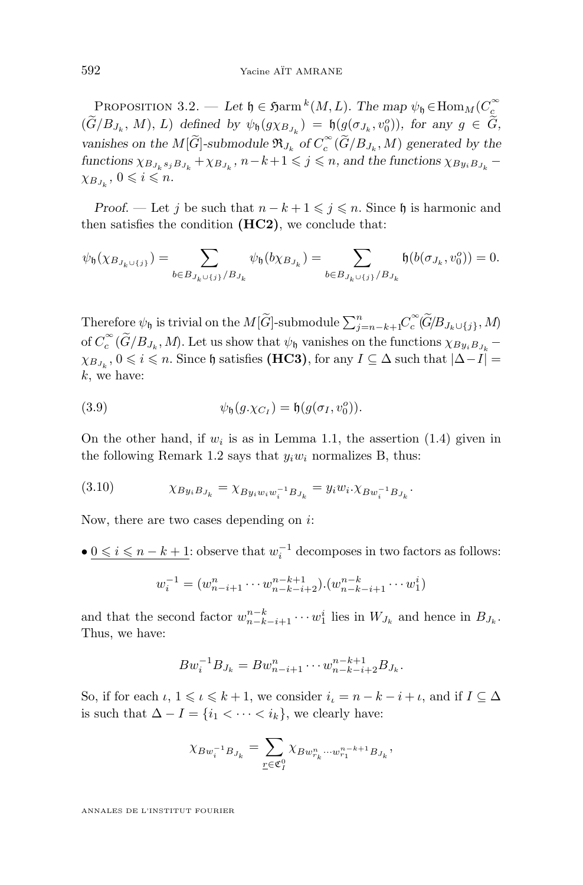<span id="page-32-0"></span>PROPOSITION 3.2. — Let  $\mathfrak{h} \in \mathfrak{Ham}^k(M, L)$ . The map  $\psi_{\mathfrak{h}} \in \text{Hom}_M(C_{\mathfrak{c}}^{\infty})$  $(\widetilde{G}/B_{J_k}, M), L$  defined by  $\psi_{\mathfrak{h}}(g\chi_{B_{J_k}}) = \mathfrak{h}(g(\sigma_{J_k}, v_0^o)),$  for any  $g \in \widetilde{G}$ , vanishes on the  $M[\widetilde{G}]$ -submodule  $\mathfrak{R}_{J_k}$  of  $C_c^{\infty}(\widetilde{G}/B_{J_k}, M)$  generated by the  $\text{functions } \chi_{B_{J_k} s_j B_{J_k}} + \chi_{B_{J_k}}, \, n-k+1 \leqslant j \leqslant n, \, \text{and the functions} \, \chi_{B y_i B_{J_k}} - \chi_{B y_i B_{J_k}}$  $\chi_{B_{J_k}}$ ,  $0 \leqslant i \leqslant n$ .

*Proof.* — Let j be such that  $n - k + 1 \leq j \leq n$ . Since h is harmonic and then satisfies the condition **(HC2)**, we conclude that:

$$
\psi_{\mathfrak{h}}(\chi_{B_{J_k \cup \{j\}}}) = \sum_{b \in B_{J_k \cup \{j\}}/B_{J_k}} \psi_{\mathfrak{h}}(b \chi_{B_{J_k}}) = \sum_{b \in B_{J_k \cup \{j\}}/B_{J_k}} \mathfrak{h}(b(\sigma_{J_k}, v_0^o)) = 0.
$$

Therefore  $\psi_{\mathfrak{h}}$  is trivial on the  $M[\widetilde{G}]$ -submodule  $\sum_{j=n-k+1}^{n} C_c^{\infty}(\widetilde{G}/B_{J_k\cup\{j\}}, M)$ of  $C_c^{\infty}(\widetilde{G}/B_{J_k}, M)$ . Let us show that  $\psi_{\mathfrak{h}}$  vanishes on the functions  $\chi_{By_iB_{J_k}}$  –  $\chi_{B_{J_k}}, 0 \leqslant i \leqslant n$ . Since h satisfies **(HC3)**, for any  $I \subseteq \Delta$  such that  $|\Delta - I| =$  $k$ , we have:

(3.9) 
$$
\psi_{\mathfrak{h}}(g.\chi_{C_I}) = \mathfrak{h}(g(\sigma_I, v_0^o)).
$$

On the other hand, if  $w_i$  is as in Lemma [1.1,](#page-6-0) the assertion [\(1.4\)](#page-7-0) given in the following Remark [1.2](#page-7-0) says that  $y_iw_i$  normalizes B, thus:

(3.10) 
$$
\chi_{By_iB_{J_k}} = \chi_{By_iw_iw_i^{-1}B_{J_k}} = y_iw_i.\chi_{Bw_i^{-1}B_{J_k}}.
$$

Now, there are two cases depending on  $i$ :

•  $0 \le i \le n - k + 1$ : observe that  $w_i^{-1}$  decomposes in two factors as follows:

$$
w_i^{-1} = (w_{n-i+1}^n \cdots w_{n-k-i+2}^{n-k+1}) \cdot (w_{n-k-i+1}^{n-k} \cdots w_1^i)
$$

and that the second factor  $w_{n-k-i+1}^{n-k} \cdots w_1^i$  lies in  $W_{J_k}$  and hence in  $B_{J_k}$ . Thus, we have:

$$
Bw_i^{-1}B_{J_k} = Bw_{n-i+1}^n \cdots w_{n-k-i+2}^{n-k+1}B_{J_k}.
$$

So, if for each  $\iota, 1 \leq \iota \leq k + 1$ , we consider  $i_{\iota} = n - k - i + \iota$ , and if  $I \subseteq \Delta$ is such that  $\Delta - I = \{i_1 < \cdots < i_k\}$ , we clearly have:

$$
\chi_{B w_i^{-1} B_{J_k}} = \sum_{\underline{r} \in \mathfrak{C}_I^0} \chi_{B w_{r_k}^n \cdots w_{r_1}^{n-k+1} B_{J_k}},
$$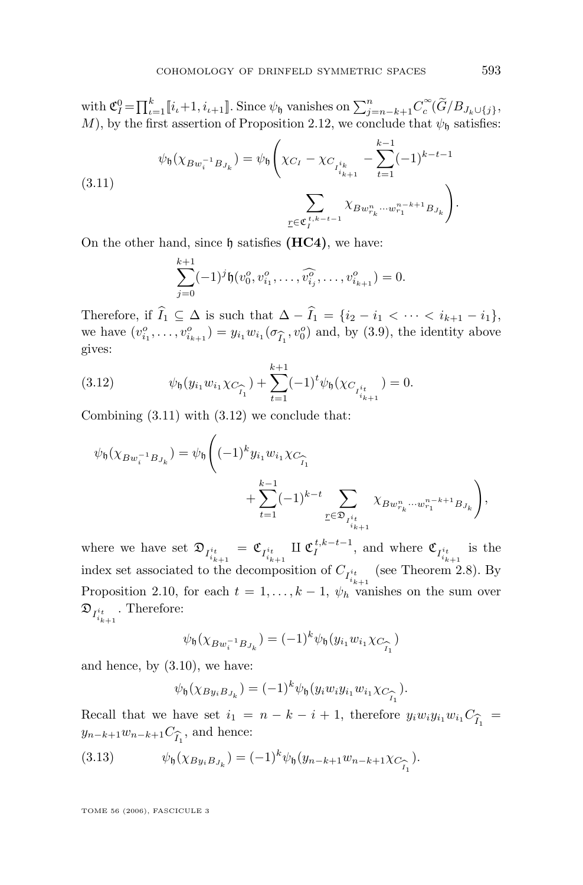<span id="page-33-0"></span>with  $\mathfrak{C}_I^0 = \prod_{i=1}^k [i_i+1, i_{i+1}]$ . Since  $\psi_0$  vanishes on  $\sum_{j=n-k+1}^n C_c^{\infty}(\widetilde{G}/B_{J_k \cup \{j\}},$ M), by the first assertion of Proposition [2.12,](#page-23-0) we conclude that  $\psi_{\mathfrak{h}}$  satisfies:

$$
\psi_{\mathfrak{h}}(\chi_{Bw_{i}^{-1}B_{J_{k}}}) = \psi_{\mathfrak{h}}\left(\chi_{C_{I}} - \chi_{C_{I_{i_{k+1}}^{i_{k}}}} - \sum_{t=1}^{k-1}(-1)^{k-t-1} \sum_{\underline{r}\in \mathfrak{C}_{I}^{i,k-t-1}} \chi_{Bw_{r_{k}}^{n}\cdots w_{r_{1}}^{n-k+1}B_{J_{k}}}\right).
$$
\n
$$
(3.11)
$$

On the other hand, since h satisfies **(HC4)**, we have:

$$
\sum_{j=0}^{k+1} (-1)^j \mathfrak{h}(v_0^o, v_{i_1}^o, \dots, \widehat{v_{i_j}^o}, \dots, v_{i_{k+1}}^o) = 0.
$$

Therefore, if  $\widehat{I}_1 \subseteq \Delta$  is such that  $\Delta - \widehat{I}_1 = \{i_2 - i_1 < \cdots < i_{k+1} - i_1\},\$ we have  $(v_{i_1}^o, \ldots, v_{i_{k+1}}^o) = y_{i_1} w_{i_1} (\sigma_{\widehat{I}_1}, v_0^o)$  and, by [\(3.9\)](#page-32-0), the identity above gives: gives:

(3.12) 
$$
\psi_{\mathfrak{h}}(y_{i_1}w_{i_1}\chi_{C_{\widehat{I}_1}})+\sum_{t=1}^{k+1}(-1)^t\psi_{\mathfrak{h}}(\chi_{C_{I_{i_{k+1}}^{i_t}}})=0.
$$

Combining (3.11) with (3.12) we conclude that:

$$
\psi_{\mathfrak{h}}(\chi_{Bw_{i}^{-1}B_{J_{k}}}) = \psi_{\mathfrak{h}} \Big( (-1)^{k} y_{i_{1}} w_{i_{1}} \chi_{C_{\widehat{I}_{1}}} + \sum_{t=1}^{k-1} (-1)^{k-t} \sum_{\underline{r} \in \mathfrak{D}_{I_{i_{k+1}}^{i_{t}}}} \chi_{Bw_{r_{k}}^{n} \cdots w_{r_{1}}^{n-k+1}B_{J_{k}}} \Big),
$$

where we have set  $\mathfrak{D}_{I_{i_{k+1}}^{i_t}} = \mathfrak{C}_{I_{i_{k+1}}^{i_t}} \amalg \mathfrak{C}_I^{t,k-t-1}$ , and where  $\mathfrak{C}_{I_{i_{k+1}}^{i_t}}$  is the index set associated to the decomposition of  $C_{I_{i_{k+1}}^{i_t}}$  (see Theorem [2.8\)](#page-20-0). By Proposition [2.10,](#page-21-0) for each  $t = 1, ..., k - 1$ ,  $\psi_h$  vanishes on the sum over  $\mathfrak{D}_{I^{i_t}_{i_{k+1}}}$ . Therefore:

$$
\psi_{\mathfrak{h}}(\chi_{Bw_i^{-1}B_{J_k}}) = (-1)^k \psi_{\mathfrak{h}}(y_{i_1} w_{i_1} \chi_{C_{\widehat{I}_1}})
$$

and hence, by [\(3.10\)](#page-32-0), we have:

$$
\psi_{\mathfrak{h}}(\chi_{By_iB_{J_k}}) = (-1)^k \psi_{\mathfrak{h}}(y_i w_i y_{i_1} w_{i_1} \chi_{C_{\widehat{I_1}}}).
$$

Recall that we have set  $i_1 = n - k - i + 1$ , therefore  $y_i w_i y_{i_1} w_{i_1} C_{\widehat{I}_1} =$ <br> $y_{n-k+1} w_{n-k+1} C_{\widehat{I}_1}$ , and hence:  $y_{n-k+1}w_{n-k+1}C_{\widehat{I}_1}$ , and hence:

(3.13) 
$$
\psi_{\mathfrak{h}}(\chi_{By_iB_{J_k}}) = (-1)^k \psi_{\mathfrak{h}}(y_{n-k+1}w_{n-k+1}\chi_{C_{\widehat{I}_1}}).
$$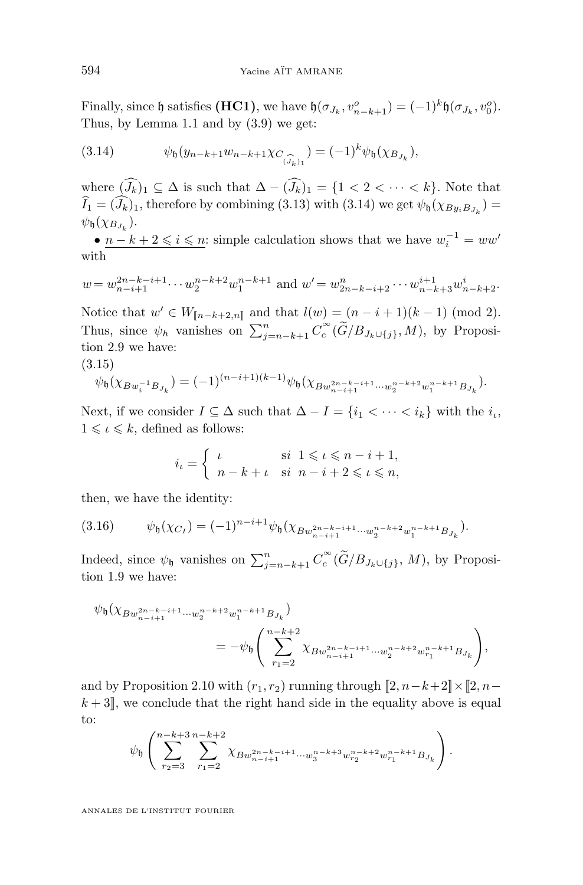<span id="page-34-0"></span>Finally, since  $\mathfrak h$  satisfies **(HC1)**, we have  $\mathfrak h(\sigma_{J_k}, v_{n-k+1}^o) = (-1)^k \mathfrak h(\sigma_{J_k}, v_0^o)$ . Thus, by Lemma [1.1](#page-6-0) and by [\(3.9\)](#page-32-0) we get:

(3.14) 
$$
\psi_{\mathfrak{h}}(y_{n-k+1}w_{n-k+1}\chi_{C_{(\widehat{J}_k)_1}}) = (-1)^k \psi_{\mathfrak{h}}(\chi_{B_{J_k}}),
$$

where  $(\widehat{J}_k)_1 \subseteq \Delta$  is such that  $\Delta - (\widehat{J}_k)_1 = \{1 < 2 < \cdots < k\}$ . Note that  $I_1 = (J_k)_1$ , therefore by combining [\(3.13\)](#page-33-0) with (3.14) we get  $\psi_{\mathfrak{h}}(\chi_{By_iB_{J_k}}) =$  $\psi_{\mathfrak{h}}(\chi_{B_{J_k}}).$ 

•  $n - k + 2 \leq i \leq n$ : simple calculation shows that we have  $w_i^{-1} = ww'$ with

$$
w = w_{n-i+1}^{2n-k-i+1} \cdots w_2^{n-k+2} w_1^{n-k+1}
$$
 and  $w' = w_{2n-k-i+2}^n \cdots w_{n-k+3}^{i+1} w_{n-k+2}^i$ .

Notice that  $w' \in W_{[\![n-k+2,n]\!]}$  and that  $l(w) = (n-i+1)(k-1) \pmod{2}$ . Thus, since  $\psi_h$  vanishes on  $\sum_{j=n-k+1}^n C_c^{\infty}(\widetilde{G}/B_{J_k\cup\{j\}}, M)$ , by Proposition [2.9](#page-20-0) we have: (3.15)

$$
\psi_{\mathfrak{h}}(\chi_{Bw_i^{-1}B_{J_k}}) = (-1)^{(n-i+1)(k-1)} \psi_{\mathfrak{h}}(\chi_{Bw_{n-i+1}^{2n-k-i+1}\cdots w_2^{n-k+2}w_1^{n-k+1}B_{J_k}}).
$$

Next, if we consider  $I \subseteq \Delta$  such that  $\Delta - I = \{i_1 < \cdots < i_k\}$  with the  $i_i$ ,  $1 \leqslant \iota \leqslant k$ , defined as follows:

$$
i_{\iota} = \begin{cases} \n\iota & \text{si } 1 \leqslant \iota \leqslant n - i + 1, \\ \n\eta - k + \iota & \text{si } n - i + 2 \leqslant \iota \leqslant n, \n\end{cases}
$$

then, we have the identity:

$$
(3.16) \qquad \psi_{\mathfrak{h}}(\chi_{C_I}) = (-1)^{n-i+1} \psi_{\mathfrak{h}}(\chi_{Bw_{n-i+1}^{2n-k-i+1}\cdots w_2^{n-k+2}w_1^{n-k+1}B_{J_k}}).
$$

Indeed, since  $\psi_{\mathfrak{h}}$  vanishes on  $\sum_{j=n-k+1}^{n} C_c^{\infty}(\widetilde{G}/B_{J_k\cup\{j\}}, M)$ , by Proposition [1.9](#page-10-0) we have:

$$
\begin{split} \psi_{\mathfrak{h}}(\chi_{Bw_{n-i+1}^{2n-k-i+1}\cdots w_{2}^{n-k+2}w_{1}^{n-k+1}B_{J_{k}}})\\ &=-\psi_{\mathfrak{h}}\Bigg(\sum_{r_{1}=2}^{n-k+2}\chi_{Bw_{n-i+1}^{2n-k-i+1}\cdots w_{2}^{n-k+2}w_{r_{1}}^{n-k+1}B_{J_{k}}}\Bigg), \end{split}
$$

and by Proposition [2.10](#page-21-0) with  $(r_1, r_2)$  running through  $[2, n-k+2] \times [2, n$  $k + 3$ , we conclude that the right hand side in the equality above is equal to:

$$
\psi_{\mathfrak{h}}\left(\sum_{r_{2}=3}^{n-k+3}\sum_{r_{1}=2}^{n-k+2}\chi_{Bw_{n-i+1}^{2n-k-i+1}\cdots w_{3}^{n-k+3}w_{r_{2}}^{n-k+2}w_{r_{1}}^{n-k+1}B_{J_{k}}}\right).
$$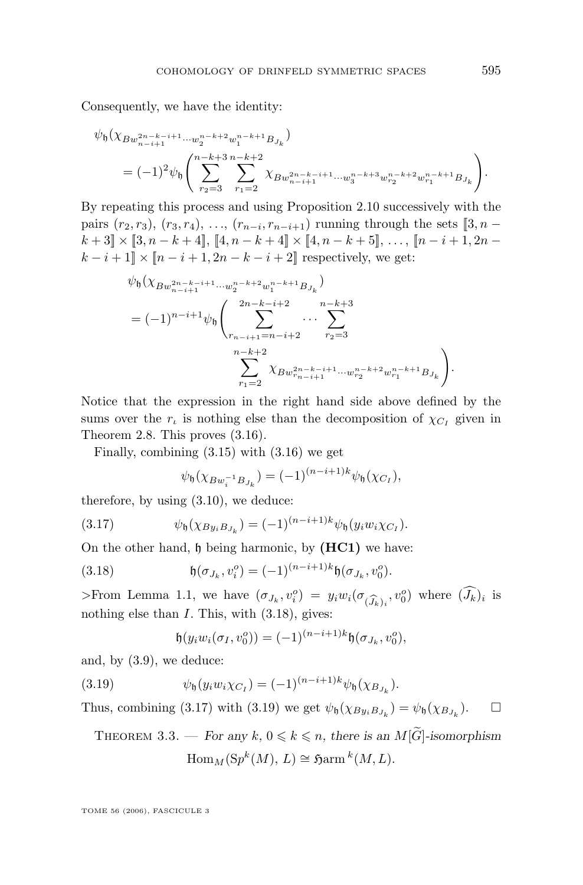<span id="page-35-0"></span>Consequently, we have the identity:

$$
\psi_{\mathfrak{h}}(\chi_{Bw_{n-i+1}^{2n-k-i+1}\cdots w_2^{n-k+2}w_1^{n-k+1}B_{J_k}})
$$
\n
$$
=(-1)^2\psi_{\mathfrak{h}}\left(\sum_{r_2=3}^{n-k+3}\sum_{r_1=2}^{n-k+2}\chi_{Bw_{n-i+1}^{2n-k-i+1}\cdots w_3^{n-k+3}w_{r_2}^{n-k+2}w_{r_1}^{n-k+1}B_{J_k}}\right).
$$

By repeating this process and using Proposition [2.10](#page-21-0) successively with the pairs  $(r_2, r_3)$ ,  $(r_3, r_4)$ , ...,  $(r_{n-i}, r_{n-i+1})$  running through the sets  $[3, n$  $k+3$  × [3, n – k + 4], [4, n – k + 4] × [4, n – k + 5], ..., [n – i + 1, 2n –  $k - i + 1 \rVert \times \lVert n - i + 1, 2n - k - i + 2 \rVert$  respectively, we get:

$$
\psi_{\mathfrak{h}}(\chi_{Bw_{n-i+1}^{2n-k-i+1}\cdots w_{2}^{n-k+2}w_{1}^{n-k+1}B_{J_{k}}})
$$
\n
$$
=(-1)^{n-i+1}\psi_{\mathfrak{h}}\left(\sum_{r_{n-i+1}=n-i+2}^{2n-k-i+2}\cdots\sum_{r_{2}=3}^{n-k+3}\cdots\sum_{r_{1}=2}^{n-k+2}\chi_{Bw_{r_{n-i+1}}^{2n-k-i+1}\cdots w_{r_{2}}^{n-k+2}w_{r_{1}}^{n-k+1}B_{J_{k}}}\right).
$$

Notice that the expression in the right hand side above defined by the sums over the  $r_t$  is nothing else than the decomposition of  $\chi_{C_I}$  given in Theorem [2.8.](#page-20-0) This proves (3.[16\)](#page-34-0).

Finally, combining [\(3.15\)](#page-34-0) with [\(3.16\)](#page-34-0) we get

$$
\psi_{\mathfrak{h}}(\chi_{Bw_i^{-1}B_{J_k}}) = (-1)^{(n-i+1)k} \psi_{\mathfrak{h}}(\chi_{C_I}),
$$

therefore, by using  $(3.10)$ , we deduce:

(3.17) 
$$
\psi_{\mathfrak{h}}(\chi_{By_iB_{J_k}}) = (-1)^{(n-i+1)k} \psi_{\mathfrak{h}}(y_i w_i \chi_{C_I}).
$$

On the other hand, h being harmonic, by **(HC1)** we have:

(3.18) 
$$
\mathfrak{h}(\sigma_{J_k}, v_i^o) = (-1)^{(n-i+1)k} \mathfrak{h}(\sigma_{J_k}, v_0^o).
$$

>From Lemma [1.1,](#page-6-0) we have  $(\sigma_{J_k}, v_i^o) = y_i w_i (\sigma_{(\widehat{J}_k)_i}, v_0^o)$  where  $(\widehat{J}_k)_i$  is nothing else than *I* This with (3.18) gives: nothing else than I. This, with  $(3.18)$ , gives:

$$
\mathfrak{h}(y_i w_i(\sigma_I, v_0^o)) = (-1)^{(n-i+1)k} \mathfrak{h}(\sigma_{J_k}, v_0^o),
$$

and, by [\(3.9\)](#page-32-0), we deduce:

(3.19) 
$$
\psi_{\mathfrak{h}}(y_i w_i \chi_{C_I}) = (-1)^{(n-i+1)k} \psi_{\mathfrak{h}}(\chi_{B_{J_k}}).
$$

Thus, combining (3.17) with (3.19) we get  $\psi_{\mathfrak{h}}(\chi_{By_iB_{J_k}}) = \psi_{\mathfrak{h}}(\chi_{B_{J_k}})$ .  $\Box$ 

THEOREM 3.3. — For any  $k, 0 \leq k \leq n$ , there is an  $M[\widetilde{G}]$ -isomorphism  $\operatorname{Hom}_M(\text{Sp}^k(M), L) \cong \operatorname{S\!arm}^k(M, L).$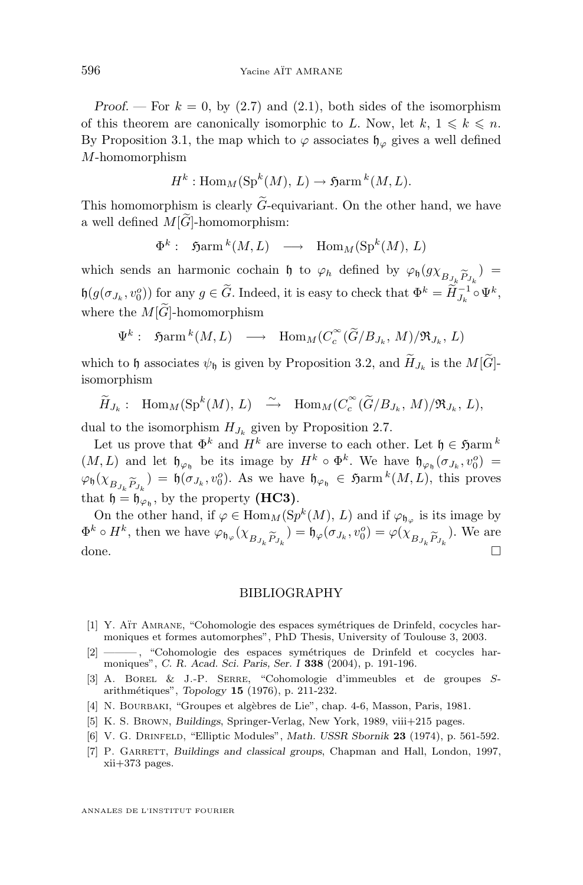<span id="page-36-0"></span>*Proof.* — For  $k = 0$ , by [\(2.7\)](#page-18-0) and [\(2.1\)](#page-15-0), both sides of the isomorphism of this theorem are canonically isomorphic to L. Now, let  $k, 1 \leq k \leq n$ . By Proposition [3.1,](#page-28-0) the map which to  $\varphi$  associates  $\mathfrak{h}_{\varphi}$  gives a well defined M-homomorphism

$$
H^k: \text{Hom}_M(\text{Sp}^k(M), L) \to \text{Sarm}^k(M, L).
$$

This homomorphism is clearly  $\tilde{G}$ -equivariant. On the other hand, we have a well defined  $M[\widetilde{G}]$ -homomorphism:

$$
\Phi^k: \quad \mathfrak{H}arm\,^k(M,L) \quad \longrightarrow \quad \mathrm{Hom}_M(\mathrm{Sp}^k(M),\, L)
$$

which sends an harmonic cochain  $\mathfrak h$  to  $\varphi_h$  defined by  $\varphi_{\mathfrak h}(gx_{B_{J_k}}\widetilde{P}_{J_k}) =$  $P_{J_k}$ <br>-1  $\mathfrak{h}(g(\sigma_{J_k}, v_0^o))$  for any  $g \in \widetilde{G}$ . Indeed, it is easy to check that  $\Phi^k = \widetilde{H}_{J_k}^{-1} \circ \Psi^k$ , where the  $M[\tilde{G}]$ -homomorphism

$$
\Psi^k
$$
:  $\mathfrak{H}(\mathcal{M}, L) \longrightarrow \text{Hom}_M(C_c^{\infty}(\widetilde{G}/B_{J_k}, M)/\mathfrak{R}_{J_k}, L)$ 

which to h associates  $\psi_{\mathfrak{h}}$  is given by Proposition [3.2,](#page-31-0) and  $H_{J_k}$  is the  $M[G]$ isomorphism

$$
\widetilde{H}_{J_k}: \text{Hom}_M(\text{Sp}^k(M), L) \longrightarrow \text{Hom}_M(C_c^{\infty}(\widetilde{G}/B_{J_k}, M)/\mathfrak{R}_{J_k}, L),
$$

dual to the isomorphism  $H_{J_k}$  given by Proposition [2.7.](#page-19-0)

Let us prove that  $\Phi^k$  and  $H^k$  are inverse to each other. Let  $\mathfrak{h} \in \mathfrak{H}$ arm  $^k$  $(M, L)$  and let  $\mathfrak{h}_{\varphi_{\mathfrak{h}}}$  be its image by  $H^k \circ \Phi^k$ . We have  $\mathfrak{h}_{\varphi_{\mathfrak{h}}}(\sigma_{J_k}, v_0^o) =$  $\varphi_{\mathfrak{h}}(\chi_{B_{J_k}\widetilde{P}_{J_k}})=\mathfrak{h}(\sigma_{J_k},v_0^o)$ . As we have  $\mathfrak{h}_{\varphi_{\mathfrak{h}}} \in \mathfrak{Harm}^k(M,L)$ , this proves that  $\mathfrak{h}=\mathfrak{h}$  by the property (**HC3**) that  $\mathfrak{h} = \mathfrak{h}_{\varphi_{\mathfrak{h}}},$  by the property **(HC3)**.

On the other hand, if  $\varphi \in \text{Hom}_M(\text{Sp}^k(M), L)$  and if  $\varphi_{\mathfrak{h}_{\varphi}}$  is its image by  $\Phi^k \circ H^k$ , then we have  $\varphi_{\mathfrak{h}_{\varphi}}(\chi_{B_{J_k}\widetilde{P}_{J_k}}) = \mathfrak{h}_{\varphi}(\sigma_{J_k}, v_0^o) = \varphi(\chi_{B_{J_k}\widetilde{P}_{J_k}})$ . We are done done.

#### BIBLIOGRAPHY

- [1] Y. Aït Amrane, "Cohomologie des espaces symétriques de Drinfeld, cocycles harmoniques et formes automorphes", PhD Thesis, University of Toulouse 3, 2003.
- [2] ——— , "Cohomologie des espaces symétriques de Drinfeld et cocycles harmoniques", *C. R. Acad. Sci. Paris, Ser. I* **338** (2004), p. 191-196.
- [3] A. Borel & J.-P. Serre, "Cohomologie d'immeubles et de groupes Sarithmétiques", *Topology* **15** (1976), p. 211-232.
- [4] N. BOURBAKI, "Groupes et algèbres de Lie", chap. 4-6, Masson, Paris, 1981.
- [5] K. S. Brown, *Buildings*, Springer-Verlag, New York, 1989, viii+215 pages.
- [6] V. G. Drinfeld, "Elliptic Modules", *Math. USSR Sbornik* **23** (1974), p. 561-592.
- [7] P. GARRETT, *Buildings and classical groups*, Chapman and Hall, London, 1997, xii+373 pages.